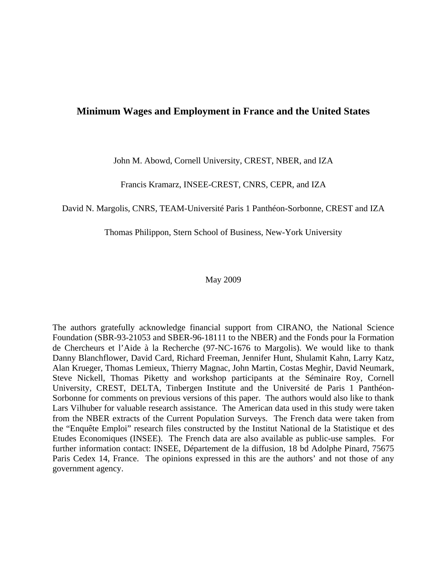## **Minimum Wages and Employment in France and the United States**

John M. Abowd, Cornell University, CREST, NBER, and IZA

Francis Kramarz, INSEE-CREST, CNRS, CEPR, and IZA

David N. Margolis, CNRS, TEAM-Université Paris 1 Panthéon-Sorbonne, CREST and IZA

Thomas Philippon, Stern School of Business, New-York University

### May 2009

The authors gratefully acknowledge financial support from CIRANO, the National Science Foundation (SBR-93-21053 and SBER-96-18111 to the NBER) and the Fonds pour la Formation de Chercheurs et l'Aide à la Recherche (97-NC-1676 to Margolis). We would like to thank Danny Blanchflower, David Card, Richard Freeman, Jennifer Hunt, Shulamit Kahn, Larry Katz, Alan Krueger, Thomas Lemieux, Thierry Magnac, John Martin, Costas Meghir, David Neumark, Steve Nickell, Thomas Piketty and workshop participants at the Séminaire Roy, Cornell University, CREST, DELTA, Tinbergen Institute and the Université de Paris 1 Panthéon-Sorbonne for comments on previous versions of this paper. The authors would also like to thank Lars Vilhuber for valuable research assistance. The American data used in this study were taken from the NBER extracts of the Current Population Surveys. The French data were taken from the "Enquête Emploi" research files constructed by the Institut National de la Statistique et des Etudes Economiques (INSEE). The French data are also available as public-use samples. For further information contact: INSEE, Département de la diffusion, 18 bd Adolphe Pinard, 75675 Paris Cedex 14, France. The opinions expressed in this are the authors' and not those of any government agency.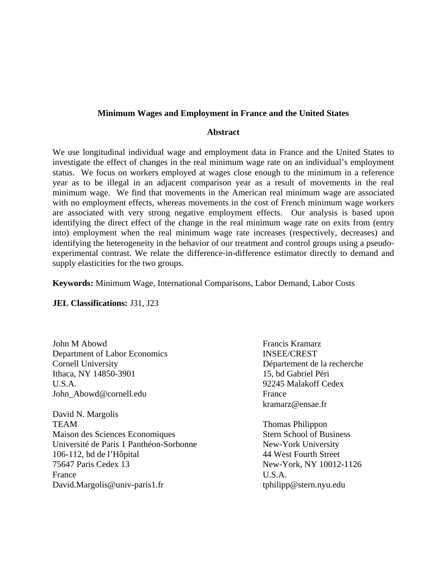### **Minimum Wages and Employment in France and the United States**

#### **Abstract**

We use longitudinal individual wage and employment data in France and the United States to investigate the effect of changes in the real minimum wage rate on an individual's employment status. We focus on workers employed at wages close enough to the minimum in a reference year as to be illegal in an adjacent comparison year as a result of movements in the real minimum wage. We find that movements in the American real minimum wage are associated with no employment effects, whereas movements in the cost of French minimum wage workers are associated with very strong negative employment effects. Our analysis is based upon identifying the direct effect of the change in the real minimum wage rate on exits from (entry into) employment when the real minimum wage rate increases (respectively, decreases) and identifying the heterogeneity in the behavior of our treatment and control groups using a pseudoexperimental contrast. We relate the difference-in-difference estimator directly to demand and supply elasticities for the two groups.

**Keywords:** Minimum Wage, International Comparisons, Labor Demand, Labor Costs

**JEL Classifications:** J31, J23

John M Abowd **Francis Kramarz** Department of Labor Economics INSEE/CREST Cornell University Département de la recherche Ithaca, NY 14850-3901 15, bd Gabriel Péri U.S.A. 92245 Malakoff Cedex John Abowd@cornell.edu France

David N. Margolis TEAM Thomas Philippon Maison des Sciences Economiques Stern School of Business Université de Paris 1 Panthéon-Sorbonne New-York University 106-112, bd de l'Hôpital 44 West Fourth Street 75647 Paris Cedex 13 New-York, NY 10012-1126 France U.S.A. David.Margolis@univ-paris1.fr the third of the tphilipp@stern.nyu.edu

kramarz@ensae.fr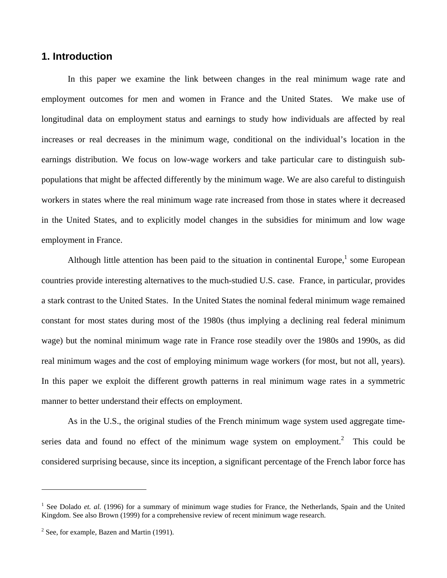## **1. Introduction**

In this paper we examine the link between changes in the real minimum wage rate and employment outcomes for men and women in France and the United States. We make use of longitudinal data on employment status and earnings to study how individuals are affected by real increases or real decreases in the minimum wage, conditional on the individual's location in the earnings distribution. We focus on low-wage workers and take particular care to distinguish subpopulations that might be affected differently by the minimum wage. We are also careful to distinguish workers in states where the real minimum wage rate increased from those in states where it decreased in the United States, and to explicitly model changes in the subsidies for minimum and low wage employment in France.

Although little attention has been paid to the situation in continental Europe, $<sup>1</sup>$  some European</sup> countries provide interesting alternatives to the much-studied U.S. case. France, in particular, provides a stark contrast to the United States. In the United States the nominal federal minimum wage remained constant for most states during most of the 1980s (thus implying a declining real federal minimum wage) but the nominal minimum wage rate in France rose steadily over the 1980s and 1990s, as did real minimum wages and the cost of employing minimum wage workers (for most, but not all, years). In this paper we exploit the different growth patterns in real minimum wage rates in a symmetric manner to better understand their effects on employment.

As in the U.S., the original studies of the French minimum wage system used aggregate timeseries data and found no effect of the minimum wage system on employment.<sup>2</sup> This could be considered surprising because, since its inception, a significant percentage of the French labor force has

 $\overline{a}$ 

<sup>&</sup>lt;sup>1</sup> See Dolado *et. al.* (1996) for a summary of minimum wage studies for France, the Netherlands, Spain and the United Kingdom. See also Brown (1999) for a comprehensive review of recent minimum wage research.

 $2$  See, for example, Bazen and Martin (1991).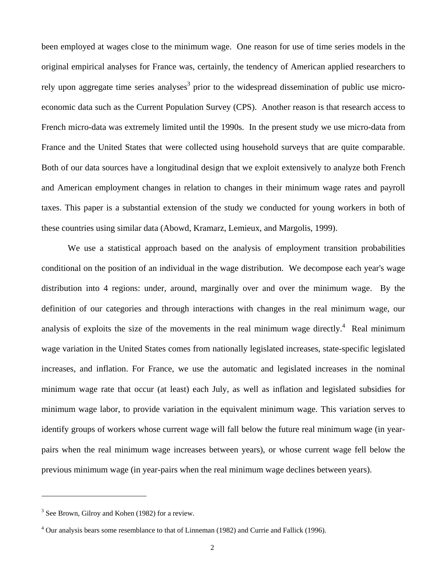been employed at wages close to the minimum wage. One reason for use of time series models in the original empirical analyses for France was, certainly, the tendency of American applied researchers to rely upon aggregate time series analyses<sup>3</sup> prior to the widespread dissemination of public use microeconomic data such as the Current Population Survey (CPS). Another reason is that research access to French micro-data was extremely limited until the 1990s. In the present study we use micro-data from France and the United States that were collected using household surveys that are quite comparable. Both of our data sources have a longitudinal design that we exploit extensively to analyze both French and American employment changes in relation to changes in their minimum wage rates and payroll taxes. This paper is a substantial extension of the study we conducted for young workers in both of these countries using similar data (Abowd, Kramarz, Lemieux, and Margolis, 1999).

We use a statistical approach based on the analysis of employment transition probabilities conditional on the position of an individual in the wage distribution. We decompose each year's wage distribution into 4 regions: under, around, marginally over and over the minimum wage. By the definition of our categories and through interactions with changes in the real minimum wage, our analysis of exploits the size of the movements in the real minimum wage directly.<sup>4</sup> Real minimum wage variation in the United States comes from nationally legislated increases, state-specific legislated increases, and inflation. For France, we use the automatic and legislated increases in the nominal minimum wage rate that occur (at least) each July, as well as inflation and legislated subsidies for minimum wage labor, to provide variation in the equivalent minimum wage. This variation serves to identify groups of workers whose current wage will fall below the future real minimum wage (in yearpairs when the real minimum wage increases between years), or whose current wage fell below the previous minimum wage (in year-pairs when the real minimum wage declines between years).

 $\overline{a}$ 

<sup>&</sup>lt;sup>3</sup> See Brown, Gilroy and Kohen (1982) for a review.

<sup>&</sup>lt;sup>4</sup> Our analysis bears some resemblance to that of Linneman (1982) and Currie and Fallick (1996).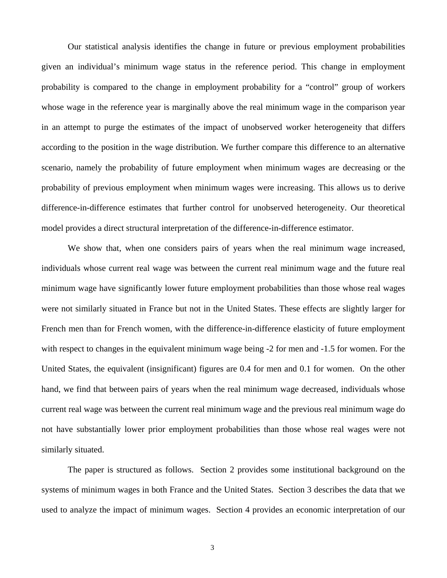Our statistical analysis identifies the change in future or previous employment probabilities given an individual's minimum wage status in the reference period. This change in employment probability is compared to the change in employment probability for a "control" group of workers whose wage in the reference year is marginally above the real minimum wage in the comparison year in an attempt to purge the estimates of the impact of unobserved worker heterogeneity that differs according to the position in the wage distribution. We further compare this difference to an alternative scenario, namely the probability of future employment when minimum wages are decreasing or the probability of previous employment when minimum wages were increasing. This allows us to derive difference-in-difference estimates that further control for unobserved heterogeneity. Our theoretical model provides a direct structural interpretation of the difference-in-difference estimator.

We show that, when one considers pairs of years when the real minimum wage increased, individuals whose current real wage was between the current real minimum wage and the future real minimum wage have significantly lower future employment probabilities than those whose real wages were not similarly situated in France but not in the United States. These effects are slightly larger for French men than for French women, with the difference-in-difference elasticity of future employment with respect to changes in the equivalent minimum wage being -2 for men and -1.5 for women. For the United States, the equivalent (insignificant) figures are 0.4 for men and 0.1 for women. On the other hand, we find that between pairs of years when the real minimum wage decreased, individuals whose current real wage was between the current real minimum wage and the previous real minimum wage do not have substantially lower prior employment probabilities than those whose real wages were not similarly situated.

The paper is structured as follows. Section 2 provides some institutional background on the systems of minimum wages in both France and the United States. Section 3 describes the data that we used to analyze the impact of minimum wages. Section 4 provides an economic interpretation of our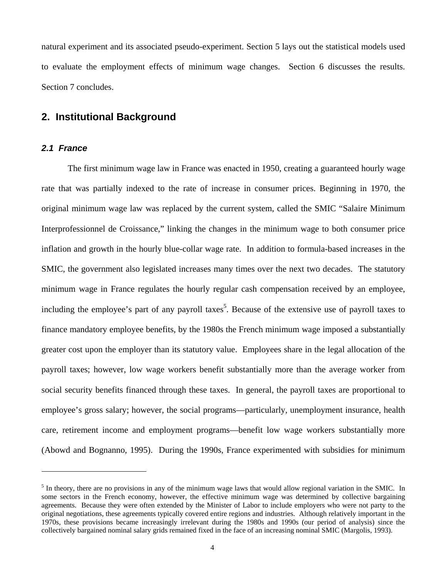natural experiment and its associated pseudo-experiment. Section 5 lays out the statistical models used to evaluate the employment effects of minimum wage changes. Section 6 discusses the results. Section 7 concludes.

# **2. Institutional Background**

### *2.1 France*

 $\overline{a}$ 

The first minimum wage law in France was enacted in 1950, creating a guaranteed hourly wage rate that was partially indexed to the rate of increase in consumer prices. Beginning in 1970, the original minimum wage law was replaced by the current system, called the SMIC "Salaire Minimum Interprofessionnel de Croissance," linking the changes in the minimum wage to both consumer price inflation and growth in the hourly blue-collar wage rate. In addition to formula-based increases in the SMIC, the government also legislated increases many times over the next two decades. The statutory minimum wage in France regulates the hourly regular cash compensation received by an employee, including the employee's part of any payroll taxes<sup>5</sup>. Because of the extensive use of payroll taxes to finance mandatory employee benefits, by the 1980s the French minimum wage imposed a substantially greater cost upon the employer than its statutory value. Employees share in the legal allocation of the payroll taxes; however, low wage workers benefit substantially more than the average worker from social security benefits financed through these taxes. In general, the payroll taxes are proportional to employee's gross salary; however, the social programs—particularly, unemployment insurance, health care, retirement income and employment programs—benefit low wage workers substantially more (Abowd and Bognanno, 1995). During the 1990s, France experimented with subsidies for minimum

 $<sup>5</sup>$  In theory, there are no provisions in any of the minimum wage laws that would allow regional variation in the SMIC. In</sup> some sectors in the French economy, however, the effective minimum wage was determined by collective bargaining agreements. Because they were often extended by the Minister of Labor to include employers who were not party to the original negotiations, these agreements typically covered entire regions and industries. Although relatively important in the 1970s, these provisions became increasingly irrelevant during the 1980s and 1990s (our period of analysis) since the collectively bargained nominal salary grids remained fixed in the face of an increasing nominal SMIC (Margolis, 1993).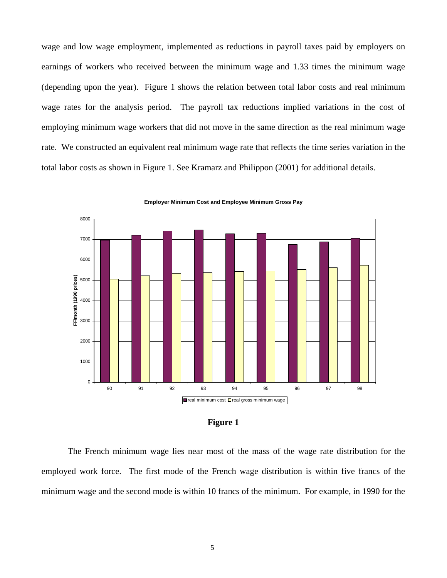wage and low wage employment, implemented as reductions in payroll taxes paid by employers on earnings of workers who received between the minimum wage and 1.33 times the minimum wage (depending upon the year). Figure 1 shows the relation between total labor costs and real minimum wage rates for the analysis period. The payroll tax reductions implied variations in the cost of employing minimum wage workers that did not move in the same direction as the real minimum wage rate. We constructed an equivalent real minimum wage rate that reflects the time series variation in the total labor costs as shown in Figure 1. See Kramarz and Philippon (2001) for additional details.



**Employer Minimum Cost and Employee Minimum Gross Pay**

| н<br>IOIIF |  |
|------------|--|
|            |  |

The French minimum wage lies near most of the mass of the wage rate distribution for the employed work force. The first mode of the French wage distribution is within five francs of the minimum wage and the second mode is within 10 francs of the minimum. For example, in 1990 for the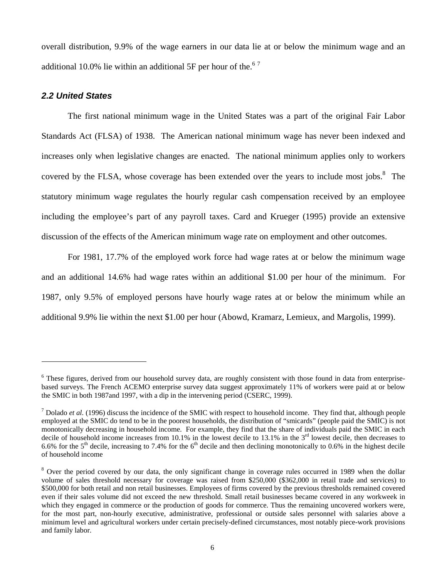overall distribution, 9.9% of the wage earners in our data lie at or below the minimum wage and an additional 10.0% lie within an additional 5F per hour of the.<sup>67</sup>

### *2.2 United States*

 $\overline{a}$ 

The first national minimum wage in the United States was a part of the original Fair Labor Standards Act (FLSA) of 1938. The American national minimum wage has never been indexed and increases only when legislative changes are enacted. The national minimum applies only to workers covered by the FLSA, whose coverage has been extended over the years to include most jobs. $8\text{ }$  The statutory minimum wage regulates the hourly regular cash compensation received by an employee including the employee's part of any payroll taxes. Card and Krueger (1995) provide an extensive discussion of the effects of the American minimum wage rate on employment and other outcomes.

For 1981, 17.7% of the employed work force had wage rates at or below the minimum wage and an additional 14.6% had wage rates within an additional \$1.00 per hour of the minimum. For 1987, only 9.5% of employed persons have hourly wage rates at or below the minimum while an additional 9.9% lie within the next \$1.00 per hour (Abowd, Kramarz, Lemieux, and Margolis, 1999).

<sup>&</sup>lt;sup>6</sup> These figures, derived from our household survey data, are roughly consistent with those found in data from enterprisebased surveys. The French ACEMO enterprise survey data suggest approximately 11% of workers were paid at or below the SMIC in both 1987and 1997, with a dip in the intervening period (CSERC, 1999).

 $<sup>7</sup>$  Dolado *et al.* (1996) discuss the incidence of the SMIC with respect to household income. They find that, although people</sup> employed at the SMIC do tend to be in the poorest households, the distribution of "smicards" (people paid the SMIC) is not monotonically decreasing in household income. For example, they find that the share of individuals paid the SMIC in each decile of household income increases from 10.1% in the lowest decile to 13.1% in the  $3<sup>rd</sup>$  lowest decile, then decreases to 6.6% for the 5<sup>th</sup> decile, increasing to 7.4% for the 6<sup>th</sup> decile and then declining monotonically to 0.6% in the highest decile of household income

<sup>&</sup>lt;sup>8</sup> Over the period covered by our data, the only significant change in coverage rules occurred in 1989 when the dollar volume of sales threshold necessary for coverage was raised from \$250,000 (\$362,000 in retail trade and services) to \$500,000 for both retail and non retail businesses. Employees of firms covered by the previous thresholds remained covered even if their sales volume did not exceed the new threshold. Small retail businesses became covered in any workweek in which they engaged in commerce or the production of goods for commerce. Thus the remaining uncovered workers were, for the most part, non-hourly executive, administrative, professional or outside sales personnel with salaries above a minimum level and agricultural workers under certain precisely-defined circumstances, most notably piece-work provisions and family labor.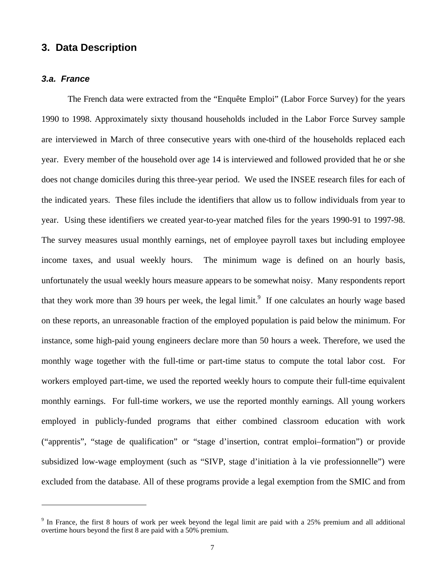# **3. Data Description**

#### *3.a. France*

 $\overline{a}$ 

The French data were extracted from the "Enquête Emploi" (Labor Force Survey) for the years 1990 to 1998. Approximately sixty thousand households included in the Labor Force Survey sample are interviewed in March of three consecutive years with one-third of the households replaced each year. Every member of the household over age 14 is interviewed and followed provided that he or she does not change domiciles during this three-year period. We used the INSEE research files for each of the indicated years. These files include the identifiers that allow us to follow individuals from year to year. Using these identifiers we created year-to-year matched files for the years 1990-91 to 1997-98. The survey measures usual monthly earnings, net of employee payroll taxes but including employee income taxes, and usual weekly hours. The minimum wage is defined on an hourly basis, unfortunately the usual weekly hours measure appears to be somewhat noisy. Many respondents report that they work more than 39 hours per week, the legal limit.<sup>9</sup> If one calculates an hourly wage based on these reports, an unreasonable fraction of the employed population is paid below the minimum. For instance, some high-paid young engineers declare more than 50 hours a week. Therefore, we used the monthly wage together with the full-time or part-time status to compute the total labor cost. For workers employed part-time, we used the reported weekly hours to compute their full-time equivalent monthly earnings. For full-time workers, we use the reported monthly earnings. All young workers employed in publicly-funded programs that either combined classroom education with work ("apprentis", "stage de qualification" or "stage d'insertion, contrat emploi–formation") or provide subsidized low-wage employment (such as "SIVP, stage d'initiation à la vie professionnelle") were excluded from the database. All of these programs provide a legal exemption from the SMIC and from

<sup>&</sup>lt;sup>9</sup> In France, the first 8 hours of work per week beyond the legal limit are paid with a 25% premium and all additional overtime hours beyond the first 8 are paid with a 50% premium.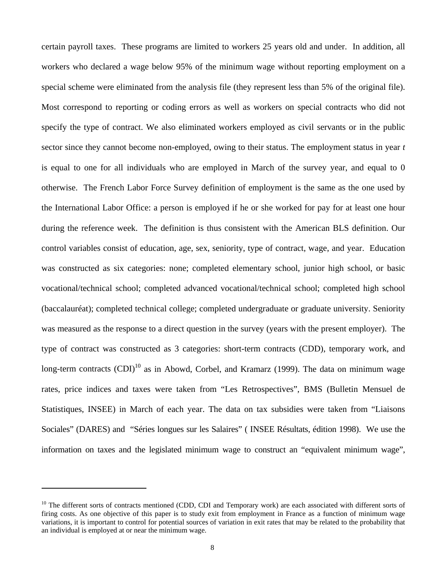certain payroll taxes. These programs are limited to workers 25 years old and under. In addition, all workers who declared a wage below 95% of the minimum wage without reporting employment on a special scheme were eliminated from the analysis file (they represent less than 5% of the original file). Most correspond to reporting or coding errors as well as workers on special contracts who did not specify the type of contract. We also eliminated workers employed as civil servants or in the public sector since they cannot become non-employed, owing to their status. The employment status in year *t* is equal to one for all individuals who are employed in March of the survey year, and equal to 0 otherwise. The French Labor Force Survey definition of employment is the same as the one used by the International Labor Office: a person is employed if he or she worked for pay for at least one hour during the reference week. The definition is thus consistent with the American BLS definition. Our control variables consist of education, age, sex, seniority, type of contract, wage, and year. Education was constructed as six categories: none; completed elementary school, junior high school, or basic vocational/technical school; completed advanced vocational/technical school; completed high school (baccalauréat); completed technical college; completed undergraduate or graduate university. Seniority was measured as the response to a direct question in the survey (years with the present employer). The type of contract was constructed as 3 categories: short-term contracts (CDD), temporary work, and long-term contracts  $(CDI)^{10}$  as in Abowd, Corbel, and Kramarz (1999). The data on minimum wage rates, price indices and taxes were taken from "Les Retrospectives", BMS (Bulletin Mensuel de Statistiques, INSEE) in March of each year. The data on tax subsidies were taken from "Liaisons Sociales" (DARES) and "Séries longues sur les Salaires" ( INSEE Résultats, édition 1998). We use the information on taxes and the legislated minimum wage to construct an "equivalent minimum wage",

 $\overline{a}$ 

 $10$  The different sorts of contracts mentioned (CDD, CDI and Temporary work) are each associated with different sorts of firing costs. As one objective of this paper is to study exit from employment in France as a function of minimum wage variations, it is important to control for potential sources of variation in exit rates that may be related to the probability that an individual is employed at or near the minimum wage.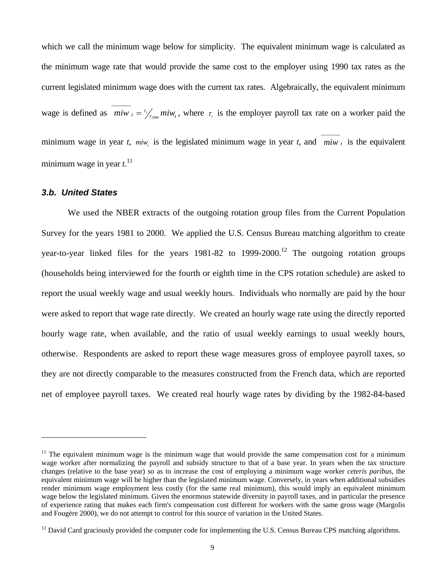which we call the minimum wage below for simplicity. The equivalent minimum wage is calculated as the minimum wage rate that would provide the same cost to the employer using 1990 tax rates as the current legislated minimum wage does with the current tax rates. Algebraically, the equivalent minimum wage is defined as  $\overline{m i w_t} = \frac{\tau_t}{\tau_{1990}} m i w_t$  $=\frac{\tau_{\ell}}{\tau_{\text{reson}}}$  miw<sub>t</sub>, where  $\tau_{\ell}$  is the employer payroll tax rate on a worker paid the minimum wage in year *t*,  $\frac{m w_t}{s}$  is the legislated minimum wage in year *t*, and  $\frac{m w_t}{m w_t}$  is the equivalent minimum wage in year *t*. 11

### *3.b. United States*

 $\overline{a}$ 

We used the NBER extracts of the outgoing rotation group files from the Current Population Survey for the years 1981 to 2000. We applied the U.S. Census Bureau matching algorithm to create year-to-year linked files for the years  $1981-82$  to  $1999-2000$ .<sup>12</sup> The outgoing rotation groups (households being interviewed for the fourth or eighth time in the CPS rotation schedule) are asked to report the usual weekly wage and usual weekly hours. Individuals who normally are paid by the hour were asked to report that wage rate directly. We created an hourly wage rate using the directly reported hourly wage rate, when available, and the ratio of usual weekly earnings to usual weekly hours, otherwise. Respondents are asked to report these wage measures gross of employee payroll taxes, so they are not directly comparable to the measures constructed from the French data, which are reported net of employee payroll taxes. We created real hourly wage rates by dividing by the 1982-84-based

 $11$  The equivalent minimum wage is the minimum wage that would provide the same compensation cost for a minimum wage worker after normalizing the payroll and subsidy structure to that of a base year. In years when the tax structure changes (relative to the base year) so as to increase the cost of employing a minimum wage worker *ceteris paribus*, the equivalent minimum wage will be higher than the legislated minimum wage. Conversely, in years when additional subsidies render minimum wage employment less costly (for the same real minimum), this would imply an equivalent minimum wage below the legislated minimum. Given the enormous statewide diversity in payroll taxes, and in particular the presence of experience rating that makes each firm's compensation cost different for workers with the same gross wage (Margolis and Fougère 2000), we do not attempt to control for this source of variation in the United States.

 $12$  David Card graciously provided the computer code for implementing the U.S. Census Bureau CPS matching algorithms.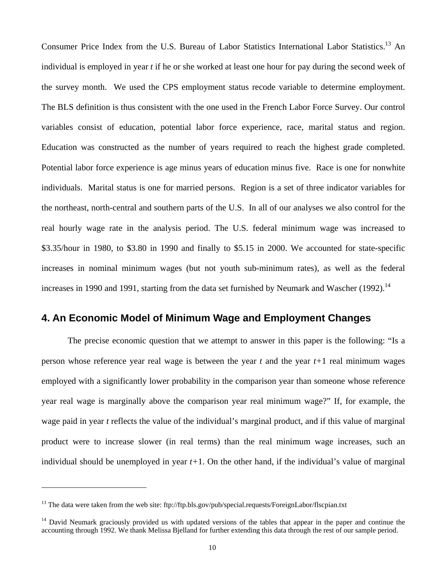Consumer Price Index from the U.S. Bureau of Labor Statistics International Labor Statistics.<sup>13</sup> An individual is employed in year *t* if he or she worked at least one hour for pay during the second week of the survey month. We used the CPS employment status recode variable to determine employment. The BLS definition is thus consistent with the one used in the French Labor Force Survey. Our control variables consist of education, potential labor force experience, race, marital status and region. Education was constructed as the number of years required to reach the highest grade completed. Potential labor force experience is age minus years of education minus five. Race is one for nonwhite individuals. Marital status is one for married persons. Region is a set of three indicator variables for the northeast, north-central and southern parts of the U.S. In all of our analyses we also control for the real hourly wage rate in the analysis period. The U.S. federal minimum wage was increased to \$3.35/hour in 1980, to \$3.80 in 1990 and finally to \$5.15 in 2000. We accounted for state-specific increases in nominal minimum wages (but not youth sub-minimum rates), as well as the federal increases in 1990 and 1991, starting from the data set furnished by Neumark and Wascher  $(1992)$ .<sup>14</sup>

# **4. An Economic Model of Minimum Wage and Employment Changes**

The precise economic question that we attempt to answer in this paper is the following: "Is a person whose reference year real wage is between the year *t* and the year *t+*1 real minimum wages employed with a significantly lower probability in the comparison year than someone whose reference year real wage is marginally above the comparison year real minimum wage?" If, for example, the wage paid in year *t* reflects the value of the individual's marginal product, and if this value of marginal product were to increase slower (in real terms) than the real minimum wage increases, such an individual should be unemployed in year *t+*1. On the other hand, if the individual's value of marginal

 $\overline{a}$ 

<sup>&</sup>lt;sup>13</sup> The data were taken from the web site: ftp://ftp.bls.gov/pub/special.requests/ForeignLabor/flscpian.txt

 $14$  David Neumark graciously provided us with updated versions of the tables that appear in the paper and continue the accounting through 1992. We thank Melissa Bjelland for further extending this data through the rest of our sample period.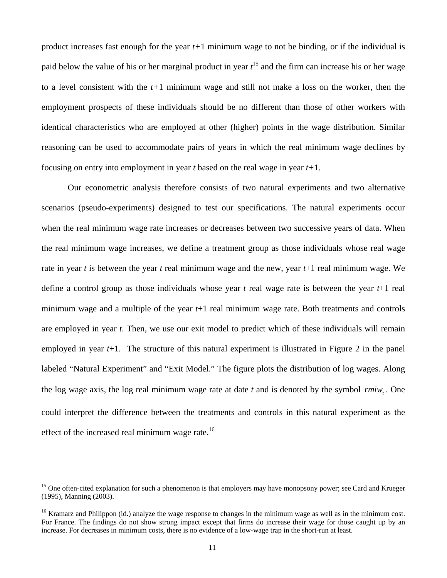product increases fast enough for the year *t+*1 minimum wage to not be binding, or if the individual is paid below the value of his or her marginal product in year  $t^{15}$  and the firm can increase his or her wage to a level consistent with the *t+*1 minimum wage and still not make a loss on the worker, then the employment prospects of these individuals should be no different than those of other workers with identical characteristics who are employed at other (higher) points in the wage distribution. Similar reasoning can be used to accommodate pairs of years in which the real minimum wage declines by focusing on entry into employment in year *t* based on the real wage in year *t+*1.

Our econometric analysis therefore consists of two natural experiments and two alternative scenarios (pseudo-experiments) designed to test our specifications. The natural experiments occur when the real minimum wage rate increases or decreases between two successive years of data. When the real minimum wage increases, we define a treatment group as those individuals whose real wage rate in year *t* is between the year *t* real minimum wage and the new, year *t*+1 real minimum wage. We define a control group as those individuals whose year *t* real wage rate is between the year *t*+1 real minimum wage and a multiple of the year *t*+1 real minimum wage rate. Both treatments and controls are employed in year *t*. Then, we use our exit model to predict which of these individuals will remain employed in year *t*+1. The structure of this natural experiment is illustrated in Figure 2 in the panel labeled "Natural Experiment" and "Exit Model." The figure plots the distribution of log wages. Along the log wage axis, the log real minimum wage rate at date *t* and is denoted by the symbol *<sup>t</sup> rmiw* . One could interpret the difference between the treatments and controls in this natural experiment as the effect of the increased real minimum wage rate.<sup>16</sup>

 $\overline{a}$ 

<sup>&</sup>lt;sup>15</sup> One often-cited explanation for such a phenomenon is that employers may have monopsony power; see Card and Krueger (1995), Manning (2003).

<sup>&</sup>lt;sup>16</sup> Kramarz and Philippon (id.) analyze the wage response to changes in the minimum wage as well as in the minimum cost. For France. The findings do not show strong impact except that firms do increase their wage for those caught up by an increase. For decreases in minimum costs, there is no evidence of a low-wage trap in the short-run at least.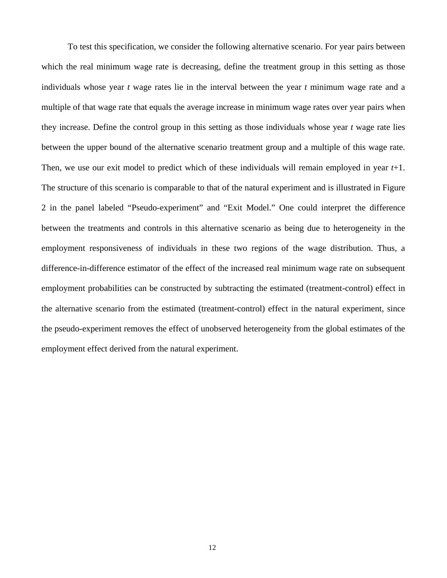To test this specification, we consider the following alternative scenario. For year pairs between which the real minimum wage rate is decreasing, define the treatment group in this setting as those individuals whose year *t* wage rates lie in the interval between the year *t* minimum wage rate and a multiple of that wage rate that equals the average increase in minimum wage rates over year pairs when they increase. Define the control group in this setting as those individuals whose year *t* wage rate lies between the upper bound of the alternative scenario treatment group and a multiple of this wage rate. Then, we use our exit model to predict which of these individuals will remain employed in year *t*+1. The structure of this scenario is comparable to that of the natural experiment and is illustrated in Figure 2 in the panel labeled "Pseudo-experiment" and "Exit Model." One could interpret the difference between the treatments and controls in this alternative scenario as being due to heterogeneity in the employment responsiveness of individuals in these two regions of the wage distribution. Thus, a difference-in-difference estimator of the effect of the increased real minimum wage rate on subsequent employment probabilities can be constructed by subtracting the estimated (treatment-control) effect in the alternative scenario from the estimated (treatment-control) effect in the natural experiment, since the pseudo-experiment removes the effect of unobserved heterogeneity from the global estimates of the employment effect derived from the natural experiment.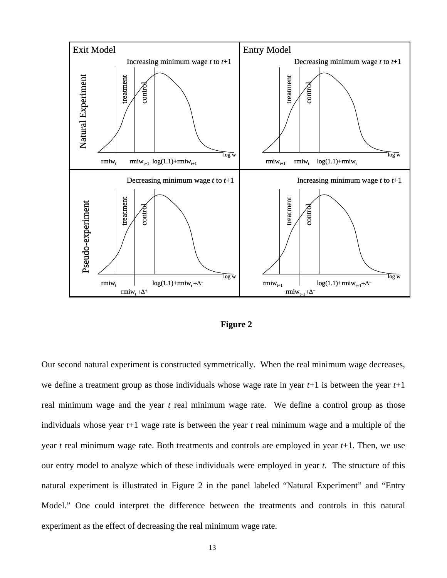

#### **Figure 2**

Our second natural experiment is constructed symmetrically. When the real minimum wage decreases, we define a treatment group as those individuals whose wage rate in year *t*+1 is between the year *t*+1 real minimum wage and the year *t* real minimum wage rate. We define a control group as those individuals whose year *t*+1 wage rate is between the year *t* real minimum wage and a multiple of the year *t* real minimum wage rate. Both treatments and controls are employed in year *t*+1. Then, we use our entry model to analyze which of these individuals were employed in year *t*. The structure of this natural experiment is illustrated in Figure 2 in the panel labeled "Natural Experiment" and "Entry Model." One could interpret the difference between the treatments and controls in this natural experiment as the effect of decreasing the real minimum wage rate.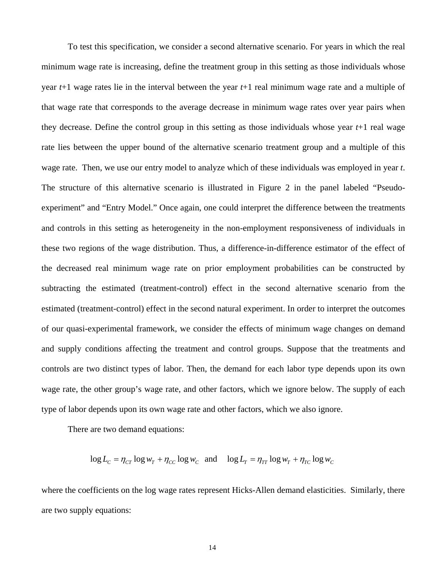To test this specification, we consider a second alternative scenario. For years in which the real minimum wage rate is increasing, define the treatment group in this setting as those individuals whose year *t*+1 wage rates lie in the interval between the year *t*+1 real minimum wage rate and a multiple of that wage rate that corresponds to the average decrease in minimum wage rates over year pairs when they decrease. Define the control group in this setting as those individuals whose year *t*+1 real wage rate lies between the upper bound of the alternative scenario treatment group and a multiple of this wage rate. Then, we use our entry model to analyze which of these individuals was employed in year *t*. The structure of this alternative scenario is illustrated in Figure 2 in the panel labeled "Pseudoexperiment" and "Entry Model." Once again, one could interpret the difference between the treatments and controls in this setting as heterogeneity in the non-employment responsiveness of individuals in these two regions of the wage distribution. Thus, a difference-in-difference estimator of the effect of the decreased real minimum wage rate on prior employment probabilities can be constructed by subtracting the estimated (treatment-control) effect in the second alternative scenario from the estimated (treatment-control) effect in the second natural experiment. In order to interpret the outcomes of our quasi-experimental framework, we consider the effects of minimum wage changes on demand and supply conditions affecting the treatment and control groups. Suppose that the treatments and controls are two distinct types of labor. Then, the demand for each labor type depends upon its own wage rate, the other group's wage rate, and other factors, which we ignore below. The supply of each type of labor depends upon its own wage rate and other factors, which we also ignore.

There are two demand equations:

 $\log L_c = \eta_{CT} \log w_T + \eta_{CC} \log w_C$  and  $\log L_T = \eta_{TT} \log w_T + \eta_{TC} \log w_C$ 

where the coefficients on the log wage rates represent Hicks-Allen demand elasticities. Similarly, there are two supply equations: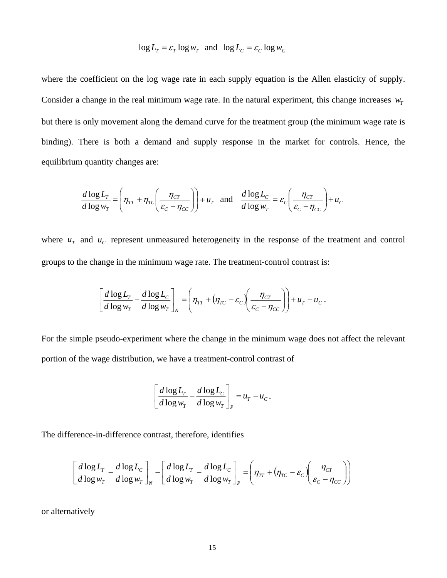$$
\log L_T = \varepsilon_T \log w_T \text{ and } \log L_C = \varepsilon_C \log w_C
$$

where the coefficient on the log wage rate in each supply equation is the Allen elasticity of supply. Consider a change in the real minimum wage rate. In the natural experiment, this change increases  $w<sub>r</sub>$ but there is only movement along the demand curve for the treatment group (the minimum wage rate is binding). There is both a demand and supply response in the market for controls. Hence, the equilibrium quantity changes are:

$$
\frac{d \log L_r}{d \log w_r} = \left(\eta_{rr} + \eta_{rc} \left(\frac{\eta_{cr}}{\varepsilon_c - \eta_{cc}}\right)\right) + u_r \text{ and } \frac{d \log L_c}{d \log w_r} = \varepsilon_c \left(\frac{\eta_{cr}}{\varepsilon_c - \eta_{cc}}\right) + u_c
$$

where  $u_r$  and  $u_c$  represent unmeasured heterogeneity in the response of the treatment and control groups to the change in the minimum wage rate. The treatment-control contrast is:

$$
\left[\frac{d \log L_{T}}{d \log w_{T}} - \frac{d \log L_{C}}{d \log w_{T}}\right]_{N} = \left(\eta_{TT} + (\eta_{TC} - \varepsilon_{C})\left(\frac{\eta_{CT}}{\varepsilon_{C} - \eta_{CC}}\right)\right) + u_{T} - u_{C}.
$$

For the simple pseudo-experiment where the change in the minimum wage does not affect the relevant portion of the wage distribution, we have a treatment-control contrast of

$$
\left[\frac{d \log L_r}{d \log w_r} - \frac{d \log L_c}{d \log w_r}\right]_P = u_r - u_c.
$$

The difference-in-difference contrast, therefore, identifies

$$
\left[\frac{d \log L_r}{d \log w_r} - \frac{d \log L_c}{d \log w_r}\right]_N - \left[\frac{d \log L_r}{d \log w_r} - \frac{d \log L_c}{d \log w_r}\right]_P = \left(\eta_{rr} + (\eta_{rc} - \varepsilon_c) \left(\frac{\eta_{cr}}{\varepsilon_c - \eta_{cc}}\right)\right)
$$

or alternatively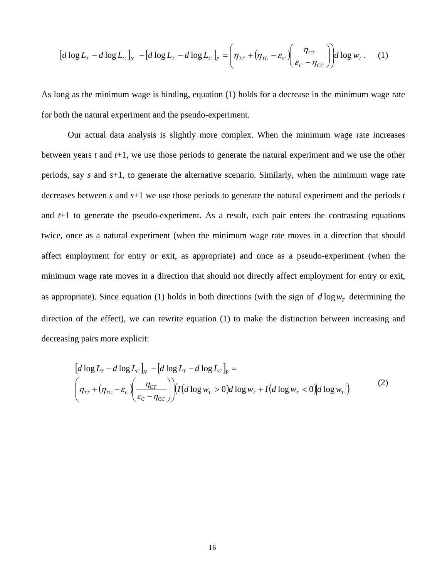$$
\left[d\log L_{T} - d\log L_{C}\right]_{N} - \left[d\log L_{T} - d\log L_{C}\right]_{P} = \left(\eta_{TT} + \left(\eta_{TC} - \varepsilon_{C}\right)\left(\frac{\eta_{CT}}{\varepsilon_{C} - \eta_{CC}}\right)\right)d\log w_{T}.
$$
 (1)

As long as the minimum wage is binding, equation (1) holds for a decrease in the minimum wage rate for both the natural experiment and the pseudo-experiment.

Our actual data analysis is slightly more complex. When the minimum wage rate increases between years *t* and *t*+1, we use those periods to generate the natural experiment and we use the other periods, say *s* and *s*+1, to generate the alternative scenario. Similarly, when the minimum wage rate decreases between *s* and *s*+1 we use those periods to generate the natural experiment and the periods *t* and *t*+1 to generate the pseudo-experiment. As a result, each pair enters the contrasting equations twice, once as a natural experiment (when the minimum wage rate moves in a direction that should affect employment for entry or exit, as appropriate) and once as a pseudo-experiment (when the minimum wage rate moves in a direction that should not directly affect employment for entry or exit, as appropriate). Since equation (1) holds in both directions (with the sign of  $d \log w_r$  determining the direction of the effect), we can rewrite equation (1) to make the distinction between increasing and decreasing pairs more explicit:

$$
\[d\log L_r - d\log L_c\]_v - [d\log L_r - d\log L_c\]_r =
$$
\n
$$
\Big(\eta_{TT} + (\eta_{TC} - \varepsilon_c) \left(\frac{\eta_{CT}}{\varepsilon_c - \eta_{CC}}\right) \Big) (I(d\log w_T > 0) d\log w_T + I(d\log w_T < 0) d\log w_T)\Big) \tag{2}
$$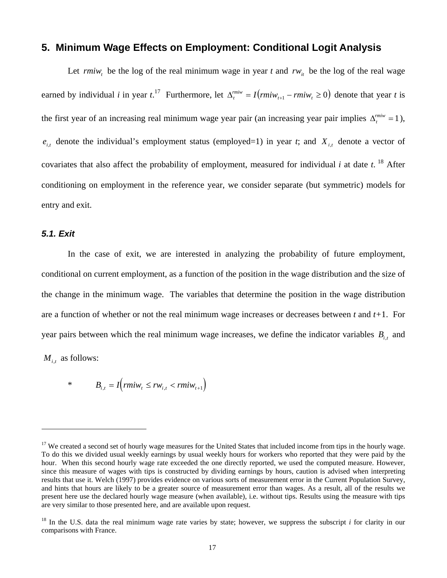## **5. Minimum Wage Effects on Employment: Conditional Logit Analysis**

Let  $\{r m i w_t\}$  be the log of the real minimum wage in year t and  $r w_{it}$  be the log of the real wage earned by individual *i* in year  $t^{17}$ . Furthermore, let  $\Delta_t^{miv} = I(rmiw_{t+1} - rmiw_t \ge 0)$  denote that year *t* is the first year of an increasing real minimum wage year pair (an increasing year pair implies  $\Delta_t^{miv} = 1$ ),  $e_{i,t}$  denote the individual's employment status (employed=1) in year *t*; and  $X_{i,t}$  denote a vector of covariates that also affect the probability of employment, measured for individual  $i$  at date  $t$ . <sup>18</sup> After conditioning on employment in the reference year, we consider separate (but symmetric) models for entry and exit.

### *5.1. Exit*

 $\overline{a}$ 

In the case of exit, we are interested in analyzing the probability of future employment, conditional on current employment, as a function of the position in the wage distribution and the size of the change in the minimum wage. The variables that determine the position in the wage distribution are a function of whether or not the real minimum wage increases or decreases between *t* and *t+*1. For year pairs between which the real minimum wage increases, we define the indicator variables  $B_{i,t}$  and  $M_{i,t}$  as follows:

\*  $B_{i,t} = I(rmiw_t \le rw_{i,t} < rmiw_{t+1})$ 

<sup>&</sup>lt;sup>17</sup> We created a second set of hourly wage measures for the United States that included income from tips in the hourly wage. To do this we divided usual weekly earnings by usual weekly hours for workers who reported that they were paid by the hour. When this second hourly wage rate exceeded the one directly reported, we used the computed measure. However, since this measure of wages with tips is constructed by dividing earnings by hours, caution is advised when interpreting results that use it. Welch (1997) provides evidence on various sorts of measurement error in the Current Population Survey, and hints that hours are likely to be a greater source of measurement error than wages. As a result, all of the results we present here use the declared hourly wage measure (when available), i.e. without tips. Results using the measure with tips are very similar to those presented here, and are available upon request.

 $18$  In the U.S. data the real minimum wage rate varies by state; however, we suppress the subscript *i* for clarity in our comparisons with France.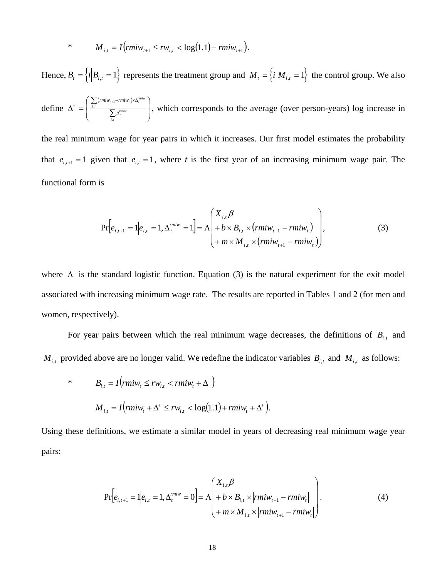\* 
$$
M_{i,t} = I\left(rmiw_{t+1} \leq rw_{i,t} < \log(1.1) + rmiw_{t+1}\right).
$$

Hence,  $B_t = \left\{ i \middle| B_{i,t} = 1 \right\}$  represents the treatment group and  $M_t = \left\{ i \middle| M_{i,t} = 1 \right\}$  the control group. We also

define  $(min_{t+1}-rmiw_t)$  $\overline{a}$  $\overline{a}$ ⎠ ⎞  $\overline{ }$  $\mathsf{L}$ ⎝  $\sqrt{}$ ∑ ∑  $\Delta^+ = \begin{array}{c} \frac{i}{\mu} \ \frac{i}{\sigma} \ \frac{\sqrt{2}}{\sigma} \ \frac{1}{\sigma} \end{array}$  $+\int_{-1}^{1} \sum_{i,t} (r m i w_{t+1} - r m i w_t) \times \Delta$ *i t rmiw t*  $\sum_{i,t} (rmiw_{t+1} - rmiw_t) \times \Delta_t^{rmiw}$ ,  $\sum_{i}$  (muw<sub>t+1</sub>-muw<sub>t</sub>)<sup>x $\Delta_i$ </sup>, which corresponds to the average (over person-years) log increase in

the real minimum wage for year pairs in which it increases. Our first model estimates the probability that  $e_{i,t+1} = 1$  given that  $e_{i,t} = 1$ , where *t* is the first year of an increasing minimum wage pair. The functional form is

$$
\Pr\left[e_{i,t+1} = 1 | e_{i,t} = 1, \Delta_t^{miv} = 1\right] = \Lambda \left(\begin{array}{l} X_{i,t} \beta \\ + b \times B_{i,t} \times (rmiw_{t+1} - rmiw_t) \\ + m \times M_{i,t} \times (rmiw_{t+1} - rmiw_t) \end{array}\right),\tag{3}
$$

where  $\Lambda$  is the standard logistic function. Equation (3) is the natural experiment for the exit model associated with increasing minimum wage rate. The results are reported in Tables 1 and 2 (for men and women, respectively).

For year pairs between which the real minimum wage decreases, the definitions of  $B_{i,t}$  and  $M_{i,t}$  provided above are no longer valid. We redefine the indicator variables  $B_{i,t}$  and  $M_{i,t}$  as follows:

\* 
$$
B_{i,t} = I\left(rmiw_t \le rw_{i,t} < rmiw_t + \Delta^+\right)
$$
\n
$$
M_{i,t} = I\left(rmiw_t + \Delta^+ \le rw_{i,t} < \log(1.1) + rmiw_t + \Delta^+\right).
$$

Using these definitions, we estimate a similar model in years of decreasing real minimum wage year pairs:

$$
\Pr\left[e_{i,t+1} = 1 | e_{i,t} = 1, \Delta_t^{miv} = 0\right] = \Lambda \left(\begin{array}{c} X_{i,t} \beta \\ + b \times B_{i,t} \times | rmiw_{t+1} - rmiw_t| \\ + m \times M_{i,t} \times | rmiw_{t+1} - rmiw_t| \end{array}\right). \tag{4}
$$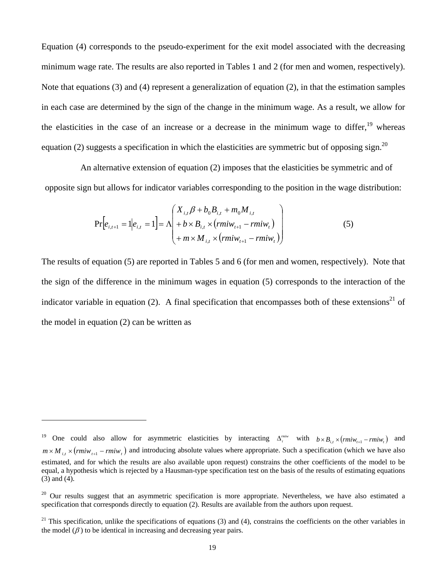Equation (4) corresponds to the pseudo-experiment for the exit model associated with the decreasing minimum wage rate. The results are also reported in Tables 1 and 2 (for men and women, respectively). Note that equations (3) and (4) represent a generalization of equation (2), in that the estimation samples in each case are determined by the sign of the change in the minimum wage. As a result, we allow for the elasticities in the case of an increase or a decrease in the minimum wage to differ,  $19$  whereas equation (2) suggests a specification in which the elasticities are symmetric but of opposing sign.<sup>20</sup>

An alternative extension of equation (2) imposes that the elasticities be symmetric and of opposite sign but allows for indicator variables corresponding to the position in the wage distribution:

$$
\Pr[e_{i,t+1} = 1 | e_{i,t} = 1] = \Lambda \left( \begin{array}{l} X_{i,t} \beta + b_0 B_{i,t} + m_0 M_{i,t} \\ + b \times B_{i,t} \times (r m i w_{t+1} - r m i w_t) \\ + m \times M_{i,t} \times (r m i w_{t+1} - r m i w_t) \end{array} \right)
$$
(5)

The results of equation (5) are reported in Tables 5 and 6 (for men and women, respectively). Note that the sign of the difference in the minimum wages in equation (5) corresponds to the interaction of the indicator variable in equation (2). A final specification that encompasses both of these extensions<sup>21</sup> of the model in equation (2) can be written as

 $\overline{a}$ 

One could also allow for asymmetric elasticities by interacting  $\Delta_t^{miv}$  with  $b \times B_{i,t} \times (rmiv_{t+1} -rmiv_t)$  and  $m \times M_{i}$ ,  $\times (rmiw_{i+1} -rmiw_i)$  and introducing absolute values where appropriate. Such a specification (which we have also estimated, and for which the results are also available upon request) constrains the other coefficients of the model to be equal, a hypothesis which is rejected by a Hausman-type specification test on the basis of the results of estimating equations (3) and (4).

 $20$  Our results suggest that an asymmetric specification is more appropriate. Nevertheless, we have also estimated a specification that corresponds directly to equation (2). Results are available from the authors upon request.

<sup>&</sup>lt;sup>21</sup> This specification, unlike the specifications of equations (3) and (4), constrains the coefficients on the other variables in the model  $(\beta)$  to be identical in increasing and decreasing year pairs.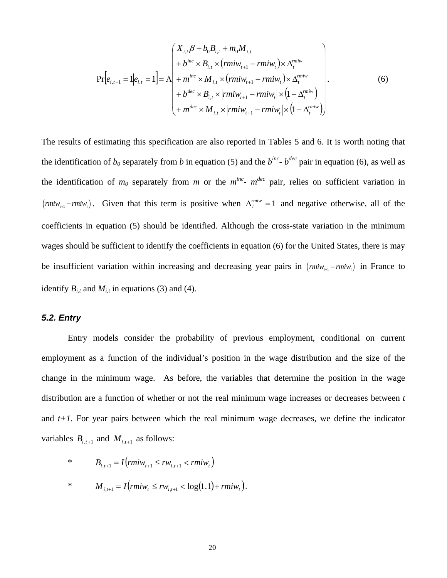$$
\Pr[e_{i,t+1} = 1 | e_{i,t} = 1] = \Lambda \begin{pmatrix} X_{i,t} \beta + b_0 B_{i,t} + m_0 M_{i,t} \\ + b^{inc} \times B_{i,t} \times (rmiw_{t+1} - rmiw_t) \times \Delta_t^{minv} \\ + m^{inc} \times M_{i,t} \times (rmiw_{t+1} - rmiw_t) \times \Delta_t^{minv} \\ + b^{dec} \times B_{i,t} \times |rmiw_{t+1} - rmiw_t| \times (1 - \Delta_t^{minv}) \\ + m^{dec} \times M_{i,t} \times |rmiw_{t+1} - rmiw_t| \times (1 - \Delta_t^{minv}) \end{pmatrix} .
$$
 (6)

The results of estimating this specification are also reported in Tables 5 and 6. It is worth noting that the identification of  $b_0$  separately from *b* in equation (5) and the  $b^{inc}$ -  $b^{dec}$  pair in equation (6), as well as the identification of  $m_0$  separately from  $m$  or the  $m^{inc}$ -  $m^{dec}$  pair, relies on sufficient variation in  $(rmiw_{t+1} - rmiw_t)$ . Given that this term is positive when  $\Delta_t^{minv} = 1$  and negative otherwise, all of the coefficients in equation (5) should be identified. Although the cross-state variation in the minimum wages should be sufficient to identify the coefficients in equation (6) for the United States, there is may be insufficient variation within increasing and decreasing year pairs in ( $rmiw_{t+1} - rmiw_t$ ) in France to identify  $B_{i,t}$  and  $M_{i,t}$  in equations (3) and (4).

### *5.2. Entry*

Entry models consider the probability of previous employment, conditional on current employment as a function of the individual's position in the wage distribution and the size of the change in the minimum wage. As before, the variables that determine the position in the wage distribution are a function of whether or not the real minimum wage increases or decreases between *t* and *t+1*. For year pairs between which the real minimum wage decreases, we define the indicator variables  $B_{i,t+1}$  and  $M_{i,t+1}$  as follows:

\* 
$$
B_{i,t+1} = I(rmiw_{t+1} \le rw_{i,t+1} < rmiw_t)
$$
  
\n\*  $M_{i,t+1} = I(rmiw_t \le rw_{i,t+1} < \log(1.1) + rmiw_t).$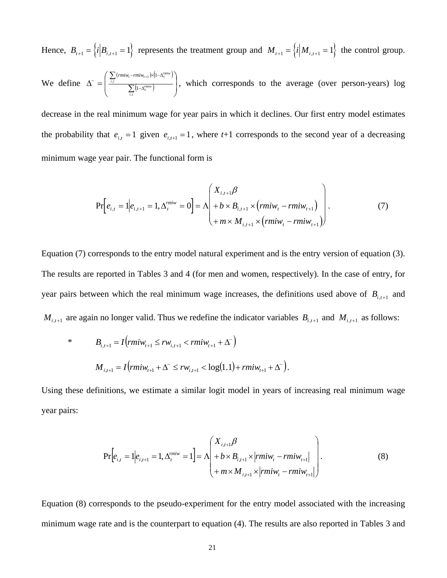Hence,  $B_{t+1} = \left\{ i \middle| B_{i,t+1} = 1 \right\}$  represents the treatment group and  $M_{t+1} = \left\{ i \middle| M_{i,t+1} = 1 \right\}$  the control group. We define  $\left(\textit{rmiw}_{t}-\textit{rmiw}_{t+1}\right) \times \left(1-\Delta_t^{\textit{rmiw}}\right)$  $\left(1-\Delta_t^{rmiw}\right)$  $\overline{\phantom{a}}$ ⎠ ⎞  $\overline{a}$  $\mathsf I$ ⎝  $\big($ ∑ ∑  $\Delta^{-} = \begin{vmatrix} \frac{i,t}{2} & \frac{1}{2} \end{vmatrix}$  $\Bigg( \sum_{i,t} (rmiw_t - rmiw_{t+1}) \times (1-\Delta$ *i t rmiw t*  $\sum_{i,t} (rmiw_t - rmiw_{t+1}) \times (1 - \Delta_t^{rmiw_t})$ ,  $\sum_{t}$ (rmi $w_t$ –rmi $w_{t+1}$ 1 1 , which corresponds to the average (over person-years) log

decrease in the real minimum wage for year pairs in which it declines. Our first entry model estimates the probability that  $e_{i,t} = 1$  given  $e_{i,t+1} = 1$ , where  $t+1$  corresponds to the second year of a decreasing minimum wage year pair. The functional form is

$$
\Pr\left[e_{i,t} = 1 | e_{i,t+1} = 1, \Delta_t^{miv} = 0\right] = \Lambda \left(\begin{array}{l} X_{i,t+1} \beta \\ + b \times B_{i,t+1} \times (rmiw_t - rmiw_{t+1}) \\ + m \times M_{i,t+1} \times (rmiw_t - rmiw_{t+1}) \end{array}\right). \tag{7}
$$

Equation (7) corresponds to the entry model natural experiment and is the entry version of equation (3). The results are reported in Tables 3 and 4 (for men and women, respectively). In the case of entry, for year pairs between which the real minimum wage increases, the definitions used above of  $B_{i,t+1}$  and  $M_{i,t+1}$  are again no longer valid. Thus we redefine the indicator variables  $B_{i,t+1}$  and  $M_{i,t+1}$  as follows:

\* 
$$
B_{i,t+1} = I\left(rmiw_{t+1} \le rw_{i,t+1} < rmiw_{t+1} + \Delta^-\right)
$$
  
\n $M_{i,t+1} = I\left(rmiw_{t+1} + \Delta^-\le rw_{i,t+1} < \log(1.1) + rmiw_{t+1} + \Delta^-\right).$ 

Using these definitions, we estimate a similar logit model in years of increasing real minimum wage year pairs:

$$
\Pr\left[e_{i,t} = 1 | e_{i,t+1} = 1, \Delta_t^{miv} = 1\right] = \Lambda \left(\begin{array}{c} X_{i,t+1} \beta \\ + b \times B_{i,t+1} \times | rmiw_t - rmiw_{t+1} | \\ + m \times M_{i,t+1} \times | rmiw_t - rmiw_{t+1} | \end{array}\right).
$$
\n(8)

Equation (8) corresponds to the pseudo-experiment for the entry model associated with the increasing minimum wage rate and is the counterpart to equation (4). The results are also reported in Tables 3 and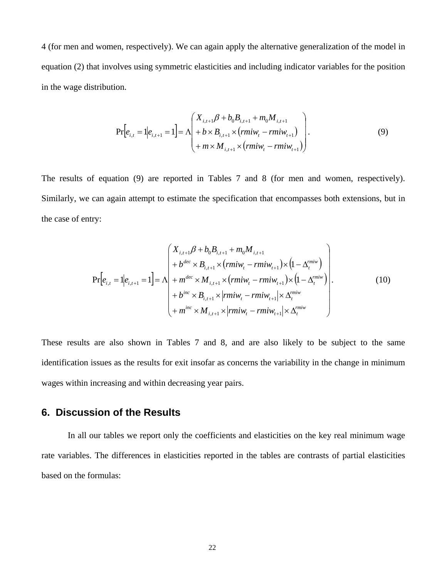4 (for men and women, respectively). We can again apply the alternative generalization of the model in equation (2) that involves using symmetric elasticities and including indicator variables for the position in the wage distribution.

$$
\Pr[e_{i,t} = 1 | e_{i,t+1} = 1] = \Lambda \begin{pmatrix} X_{i,t+1} \beta + b_0 B_{i,t+1} + m_0 M_{i,t+1} \\ + b \times B_{i,t+1} \times (r m i w_t - r m i w_{t+1}) \\ + m \times M_{i,t+1} \times (r m i w_t - r m i w_{t+1}) \end{pmatrix}.
$$
\n(9)

The results of equation (9) are reported in Tables 7 and 8 (for men and women, respectively). Similarly, we can again attempt to estimate the specification that encompasses both extensions, but in the case of entry:

$$
\Pr[e_{i,t} = 1|e_{i,t+1} = 1] = \Lambda \begin{pmatrix} X_{i,t+1} \beta + b_0 B_{i,t+1} + m_0 M_{i,t+1} \\ + b^{dec} \times B_{i,t+1} \times (rmiw_t - rmiw_{t+1}) \times (1 - \Delta_t^{rmiw}) \\ + m^{dec} \times M_{i,t+1} \times (rmiw_t - rmiw_{t+1}) \times (1 - \Delta_t^{rmiw}) \\ + b^{inc} \times B_{i,t+1} \times |rmiw_t - rmiw_{t+1}| \times \Delta_t^{rmiw} \\ + m^{inc} \times M_{i,t+1} \times |rmiw_t - rmiw_{t+1}| \times \Delta_t^{rmiw} \end{pmatrix}.
$$
 (10)

These results are also shown in Tables 7 and 8, and are also likely to be subject to the same identification issues as the results for exit insofar as concerns the variability in the change in minimum wages within increasing and within decreasing year pairs.

# **6. Discussion of the Results**

In all our tables we report only the coefficients and elasticities on the key real minimum wage rate variables. The differences in elasticities reported in the tables are contrasts of partial elasticities based on the formulas: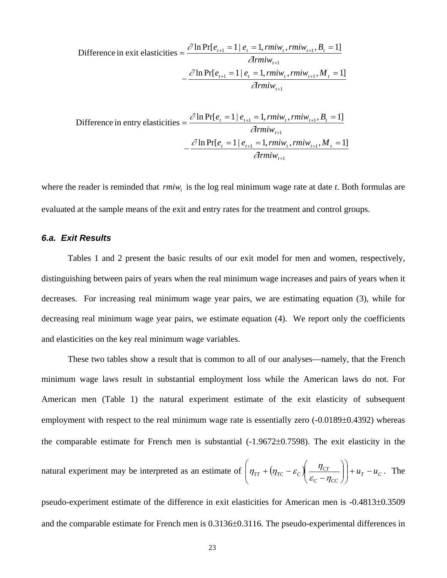$$
\text{Difference in exit elasticities} = \frac{\partial \ln \Pr[e_{t+1} = 1 | e_t = 1, rmiw_t, rmiw_{t+1}, B_t = 1]}{\partial rmiw_{t+1}} - \frac{\partial \ln \Pr[e_{t+1} = 1 | e_t = 1, rmiw_t, rmiw_{t+1}, M_t = 1]}{\partial rmiw_{t+1}}
$$

$$
\text{Difference in entry elasticities} = \frac{\partial \ln \Pr[e_t = 1 | e_{t+1} = 1, rmiw_t, rmiw_{t+1}, B_t = 1]}{\partial rmiw_{t+1}} - \frac{\partial \ln \Pr[e_t = 1 | e_{t+1} = 1, rmiw_t, rmiw_{t+1}, M_t = 1]}{\partial rmiw_{t+1}}
$$

where the reader is reminded that *rmiw*, is the log real minimum wage rate at date *t*. Both formulas are evaluated at the sample means of the exit and entry rates for the treatment and control groups.

### *6.a. Exit Results*

Tables 1 and 2 present the basic results of our exit model for men and women, respectively, distinguishing between pairs of years when the real minimum wage increases and pairs of years when it decreases. For increasing real minimum wage year pairs, we are estimating equation (3), while for decreasing real minimum wage year pairs, we estimate equation (4). We report only the coefficients and elasticities on the key real minimum wage variables.

These two tables show a result that is common to all of our analyses—namely, that the French minimum wage laws result in substantial employment loss while the American laws do not. For American men (Table 1) the natural experiment estimate of the exit elasticity of subsequent employment with respect to the real minimum wage rate is essentially zero  $(-0.0189 \pm 0.4392)$  whereas the comparable estimate for French men is substantial (-1.9672±0.7598). The exit elasticity in the

natural experiment may be interpreted as an estimate of 
$$
\left(\eta_{TT} + (\eta_{TC} - \varepsilon_c) \left( \frac{\eta_{CT}}{\varepsilon_c - \eta_{CC}} \right) \right) + u_T - u_C
$$
. The

pseudo-experiment estimate of the difference in exit elasticities for American men is -0.4813±0.3509 and the comparable estimate for French men is 0.3136±0.3116. The pseudo-experimental differences in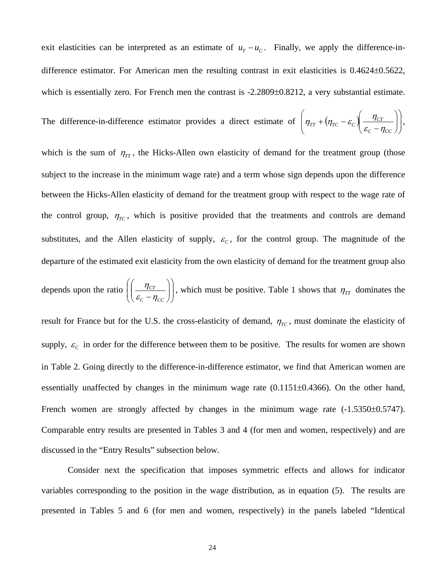exit elasticities can be interpreted as an estimate of  $u_T - u_C$ . Finally, we apply the difference-indifference estimator. For American men the resulting contrast in exit elasticities is 0.4624±0.5622, which is essentially zero. For French men the contrast is -2.2809±0.8212, a very substantial estimate.

The difference-in-difference estimator provides a direct estimate of  $\left| \eta_{TT} + (\eta_{TC} - \varepsilon_c) \right| \frac{\eta_{CT}}{\varepsilon - n}$ ⎠ ⎞  $\parallel$ ⎝  $\sqrt{}$  $\sqrt{2}$ ⎠ ⎞  $\parallel$ ⎝ ⎛  $+\left(\eta_{TC}-\varepsilon_c\right)\frac{\eta_{CT}}{\varepsilon_c-\eta_{CC}}$  $\mathcal{C}_{TT}$  + ( $\eta_{TC}$  –  $\varepsilon_c$ )  $\frac{\eta_{CT}}{\varepsilon_c - \eta_c}$  $\eta_{TT} + (\eta_{TC} - \varepsilon_C) \frac{\eta_{CT}}{\eta_{CT}}$ 

which is the sum of  $\eta_{TT}$ , the Hicks-Allen own elasticity of demand for the treatment group (those subject to the increase in the minimum wage rate) and a term whose sign depends upon the difference between the Hicks-Allen elasticity of demand for the treatment group with respect to the wage rate of the control group,  $\eta_{TC}$ , which is positive provided that the treatments and controls are demand substitutes, and the Allen elasticity of supply,  $\varepsilon_c$ , for the control group. The magnitude of the departure of the estimated exit elasticity from the own elasticity of demand for the treatment group also

depends upon the ratio  $\left| \left| \frac{\eta_{CT}}{s} \right| \right|$ ⎠ ⎞  $\begin{bmatrix} \phantom{-} \end{bmatrix}$ ⎝  $\sqrt{}$  $\sqrt{ }$ ⎠  $\setminus$  $\overline{\phantom{a}}$ ⎝  $\sqrt{}$  $C_C - \eta_{CC}$ *CT*  $\left(\frac{\eta_{CT}}{\varepsilon_c - \eta_{CC}}\right)$ , which must be positive. Table 1 shows that  $\eta_{TT}$  dominates the

result for France but for the U.S. the cross-elasticity of demand,  $\eta_{TC}$ , must dominate the elasticity of supply,  $\varepsilon_c$  in order for the difference between them to be positive. The results for women are shown in Table 2. Going directly to the difference-in-difference estimator, we find that American women are essentially unaffected by changes in the minimum wage rate (0.1151±0.4366). On the other hand, French women are strongly affected by changes in the minimum wage rate  $(-1.5350\pm0.5747)$ . Comparable entry results are presented in Tables 3 and 4 (for men and women, respectively) and are discussed in the "Entry Results" subsection below.

Consider next the specification that imposes symmetric effects and allows for indicator variables corresponding to the position in the wage distribution, as in equation (5). The results are presented in Tables 5 and 6 (for men and women, respectively) in the panels labeled "Identical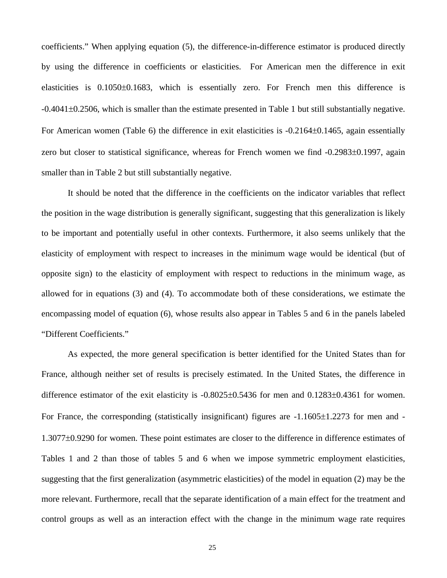coefficients." When applying equation (5), the difference-in-difference estimator is produced directly by using the difference in coefficients or elasticities. For American men the difference in exit elasticities is 0.1050±0.1683, which is essentially zero. For French men this difference is -0.4041±0.2506, which is smaller than the estimate presented in Table 1 but still substantially negative. For American women (Table 6) the difference in exit elasticities is  $-0.2164\pm0.1465$ , again essentially zero but closer to statistical significance, whereas for French women we find -0.2983±0.1997, again smaller than in Table 2 but still substantially negative.

It should be noted that the difference in the coefficients on the indicator variables that reflect the position in the wage distribution is generally significant, suggesting that this generalization is likely to be important and potentially useful in other contexts. Furthermore, it also seems unlikely that the elasticity of employment with respect to increases in the minimum wage would be identical (but of opposite sign) to the elasticity of employment with respect to reductions in the minimum wage, as allowed for in equations (3) and (4). To accommodate both of these considerations, we estimate the encompassing model of equation (6), whose results also appear in Tables 5 and 6 in the panels labeled "Different Coefficients."

As expected, the more general specification is better identified for the United States than for France, although neither set of results is precisely estimated. In the United States, the difference in difference estimator of the exit elasticity is -0.8025±0.5436 for men and 0.1283±0.4361 for women. For France, the corresponding (statistically insignificant) figures are -1.1605±1.2273 for men and - 1.3077±0.9290 for women. These point estimates are closer to the difference in difference estimates of Tables 1 and 2 than those of tables 5 and 6 when we impose symmetric employment elasticities, suggesting that the first generalization (asymmetric elasticities) of the model in equation (2) may be the more relevant. Furthermore, recall that the separate identification of a main effect for the treatment and control groups as well as an interaction effect with the change in the minimum wage rate requires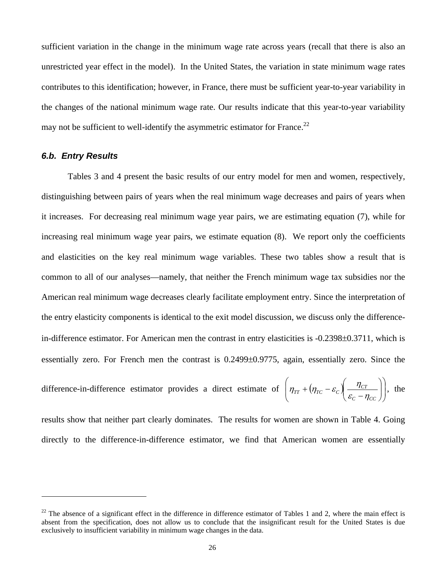sufficient variation in the change in the minimum wage rate across years (recall that there is also an unrestricted year effect in the model). In the United States, the variation in state minimum wage rates contributes to this identification; however, in France, there must be sufficient year-to-year variability in the changes of the national minimum wage rate. Our results indicate that this year-to-year variability may not be sufficient to well-identify the asymmetric estimator for France.<sup>22</sup>

### *6.b. Entry Results*

 $\overline{a}$ 

Tables 3 and 4 present the basic results of our entry model for men and women, respectively, distinguishing between pairs of years when the real minimum wage decreases and pairs of years when it increases. For decreasing real minimum wage year pairs, we are estimating equation (7), while for increasing real minimum wage year pairs, we estimate equation (8). We report only the coefficients and elasticities on the key real minimum wage variables. These two tables show a result that is common to all of our analyses—namely, that neither the French minimum wage tax subsidies nor the American real minimum wage decreases clearly facilitate employment entry. Since the interpretation of the entry elasticity components is identical to the exit model discussion, we discuss only the differencein-difference estimator. For American men the contrast in entry elasticities is -0.2398±0.3711, which is essentially zero. For French men the contrast is 0.2499±0.9775, again, essentially zero. Since the

difference-in-difference estimator provides a direct estimate of 
$$
\left(\eta_{TT} + (\eta_{TC} - \varepsilon_c) \left( \frac{\eta_{CT}}{\varepsilon_c - \eta_{CC}} \right) \right)
$$
, the

results show that neither part clearly dominates. The results for women are shown in Table 4. Going directly to the difference-in-difference estimator, we find that American women are essentially

 $22$  The absence of a significant effect in the difference in difference estimator of Tables 1 and 2, where the main effect is absent from the specification, does not allow us to conclude that the insignificant result for the United States is due exclusively to insufficient variability in minimum wage changes in the data.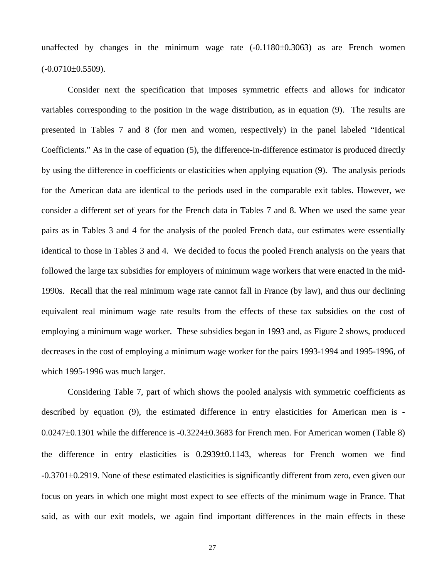unaffected by changes in the minimum wage rate (-0.1180±0.3063) as are French women  $(-0.0710\pm0.5509)$ .

Consider next the specification that imposes symmetric effects and allows for indicator variables corresponding to the position in the wage distribution, as in equation (9). The results are presented in Tables 7 and 8 (for men and women, respectively) in the panel labeled "Identical Coefficients." As in the case of equation (5), the difference-in-difference estimator is produced directly by using the difference in coefficients or elasticities when applying equation (9). The analysis periods for the American data are identical to the periods used in the comparable exit tables. However, we consider a different set of years for the French data in Tables 7 and 8. When we used the same year pairs as in Tables 3 and 4 for the analysis of the pooled French data, our estimates were essentially identical to those in Tables 3 and 4. We decided to focus the pooled French analysis on the years that followed the large tax subsidies for employers of minimum wage workers that were enacted in the mid-1990s. Recall that the real minimum wage rate cannot fall in France (by law), and thus our declining equivalent real minimum wage rate results from the effects of these tax subsidies on the cost of employing a minimum wage worker. These subsidies began in 1993 and, as Figure 2 shows, produced decreases in the cost of employing a minimum wage worker for the pairs 1993-1994 and 1995-1996, of which 1995-1996 was much larger.

Considering Table 7, part of which shows the pooled analysis with symmetric coefficients as described by equation (9), the estimated difference in entry elasticities for American men is - 0.0247±0.1301 while the difference is -0.3224±0.3683 for French men. For American women (Table 8) the difference in entry elasticities is 0.2939±0.1143, whereas for French women we find -0.3701±0.2919. None of these estimated elasticities is significantly different from zero, even given our focus on years in which one might most expect to see effects of the minimum wage in France. That said, as with our exit models, we again find important differences in the main effects in these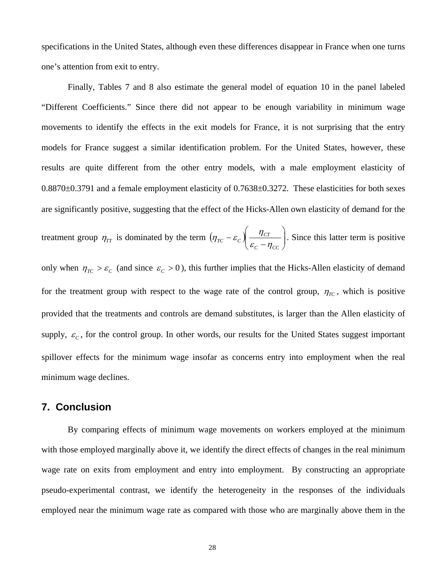specifications in the United States, although even these differences disappear in France when one turns one's attention from exit to entry.

Finally, Tables 7 and 8 also estimate the general model of equation 10 in the panel labeled "Different Coefficients." Since there did not appear to be enough variability in minimum wage movements to identify the effects in the exit models for France, it is not surprising that the entry models for France suggest a similar identification problem. For the United States, however, these results are quite different from the other entry models, with a male employment elasticity of 0.8870±0.3791 and a female employment elasticity of 0.7638±0.3272. These elasticities for both sexes are significantly positive, suggesting that the effect of the Hicks-Allen own elasticity of demand for the

treatment group  $\eta_{TT}$  is dominated by the term  $\left(\eta_{TC} - \varepsilon_C\right) \frac{\eta_{CT}}{\varepsilon - n}$ ⎠ ⎞  $\parallel$ ⎝  $\int$  $-\varepsilon_c\right)\frac{\eta_{CT}}{\varepsilon_c-\eta_{CC}}$ *CT*  $T^c$ <sup>-c</sup>c  $\sqrt{\frac{\varepsilon_c - \eta}{\varepsilon_c - \eta}}$  $(\eta_{TC} - \varepsilon_c)$   $\frac{\eta_{CT}}{\eta_{CT}}$ . Since this latter term is positive

only when  $\eta_{TC} > \varepsilon_c$  (and since  $\varepsilon_c > 0$ ), this further implies that the Hicks-Allen elasticity of demand for the treatment group with respect to the wage rate of the control group,  $\eta_{TC}$ , which is positive provided that the treatments and controls are demand substitutes, is larger than the Allen elasticity of supply,  $\varepsilon_c$ , for the control group. In other words, our results for the United States suggest important spillover effects for the minimum wage insofar as concerns entry into employment when the real minimum wage declines.

# **7. Conclusion**

By comparing effects of minimum wage movements on workers employed at the minimum with those employed marginally above it, we identify the direct effects of changes in the real minimum wage rate on exits from employment and entry into employment. By constructing an appropriate pseudo-experimental contrast, we identify the heterogeneity in the responses of the individuals employed near the minimum wage rate as compared with those who are marginally above them in the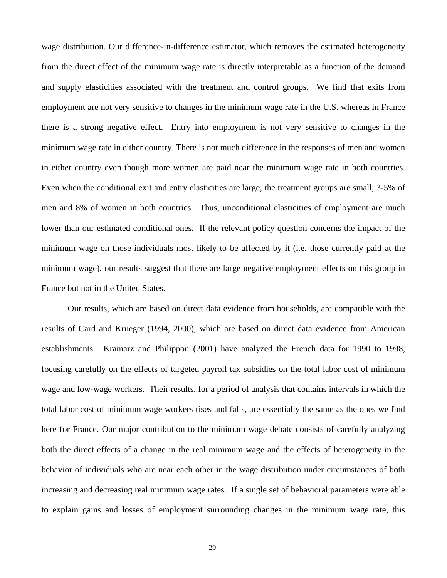wage distribution. Our difference-in-difference estimator, which removes the estimated heterogeneity from the direct effect of the minimum wage rate is directly interpretable as a function of the demand and supply elasticities associated with the treatment and control groups. We find that exits from employment are not very sensitive to changes in the minimum wage rate in the U.S. whereas in France there is a strong negative effect. Entry into employment is not very sensitive to changes in the minimum wage rate in either country. There is not much difference in the responses of men and women in either country even though more women are paid near the minimum wage rate in both countries. Even when the conditional exit and entry elasticities are large, the treatment groups are small, 3-5% of men and 8% of women in both countries. Thus, unconditional elasticities of employment are much lower than our estimated conditional ones. If the relevant policy question concerns the impact of the minimum wage on those individuals most likely to be affected by it (i.e. those currently paid at the minimum wage), our results suggest that there are large negative employment effects on this group in France but not in the United States.

Our results, which are based on direct data evidence from households, are compatible with the results of Card and Krueger (1994, 2000), which are based on direct data evidence from American establishments. Kramarz and Philippon (2001) have analyzed the French data for 1990 to 1998, focusing carefully on the effects of targeted payroll tax subsidies on the total labor cost of minimum wage and low-wage workers. Their results, for a period of analysis that contains intervals in which the total labor cost of minimum wage workers rises and falls, are essentially the same as the ones we find here for France. Our major contribution to the minimum wage debate consists of carefully analyzing both the direct effects of a change in the real minimum wage and the effects of heterogeneity in the behavior of individuals who are near each other in the wage distribution under circumstances of both increasing and decreasing real minimum wage rates. If a single set of behavioral parameters were able to explain gains and losses of employment surrounding changes in the minimum wage rate, this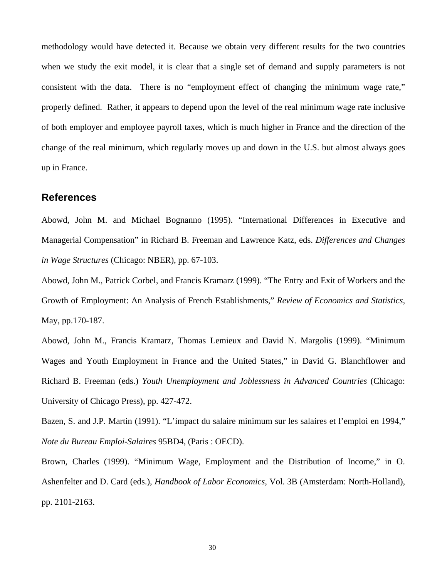methodology would have detected it. Because we obtain very different results for the two countries when we study the exit model, it is clear that a single set of demand and supply parameters is not consistent with the data. There is no "employment effect of changing the minimum wage rate," properly defined. Rather, it appears to depend upon the level of the real minimum wage rate inclusive of both employer and employee payroll taxes, which is much higher in France and the direction of the change of the real minimum, which regularly moves up and down in the U.S. but almost always goes up in France.

## **References**

Abowd, John M. and Michael Bognanno (1995). "International Differences in Executive and Managerial Compensation" in Richard B. Freeman and Lawrence Katz, eds. *Differences and Changes in Wage Structures* (Chicago: NBER), pp. 67-103.

Abowd, John M., Patrick Corbel, and Francis Kramarz (1999). "The Entry and Exit of Workers and the Growth of Employment: An Analysis of French Establishments," *Review of Economics and Statistics,*  May, pp.170-187.

Abowd, John M., Francis Kramarz, Thomas Lemieux and David N. Margolis (1999). "Minimum Wages and Youth Employment in France and the United States," in David G. Blanchflower and Richard B. Freeman (eds.) *Youth Unemployment and Joblessness in Advanced Countries* (Chicago: University of Chicago Press), pp. 427-472.

Bazen, S. and J.P. Martin (1991). "L'impact du salaire minimum sur les salaires et l'emploi en 1994," *Note du Bureau Emploi-Salaires* 95BD4, (Paris : OECD).

Brown, Charles (1999). "Minimum Wage, Employment and the Distribution of Income," in O. Ashenfelter and D. Card (eds.), *Handbook of Labor Economics*, Vol. 3B (Amsterdam: North-Holland), pp. 2101-2163.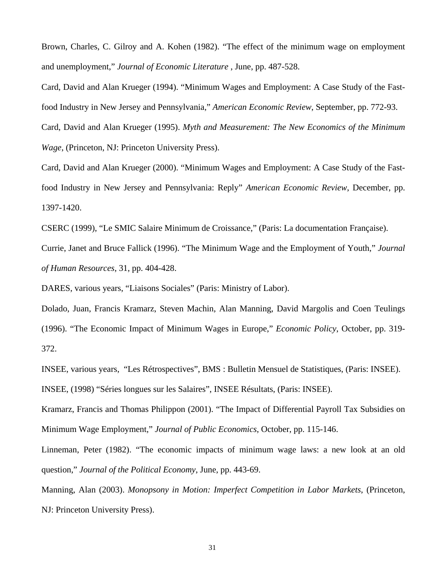Brown, Charles, C. Gilroy and A. Kohen (1982). "The effect of the minimum wage on employment and unemployment," *Journal of Economic Literature* , June, pp. 487-528.

Card, David and Alan Krueger (1994). "Minimum Wages and Employment: A Case Study of the Fastfood Industry in New Jersey and Pennsylvania," *American Economic Review*, September, pp. 772-93. Card, David and Alan Krueger (1995). *Myth and Measurement: The New Economics of the Minimum Wage*, (Princeton, NJ: Princeton University Press).

Card, David and Alan Krueger (2000). "Minimum Wages and Employment: A Case Study of the Fastfood Industry in New Jersey and Pennsylvania: Reply" *American Economic Review*, December, pp. 1397-1420.

CSERC (1999), "Le SMIC Salaire Minimum de Croissance," (Paris: La documentation Française).

Currie, Janet and Bruce Fallick (1996). "The Minimum Wage and the Employment of Youth," *Journal of Human Resources*, 31, pp. 404-428.

DARES, various years, "Liaisons Sociales" (Paris: Ministry of Labor).

Dolado, Juan, Francis Kramarz, Steven Machin, Alan Manning, David Margolis and Coen Teulings (1996). "The Economic Impact of Minimum Wages in Europe," *Economic Policy*, October, pp. 319- 372.

INSEE, various years, "Les Rétrospectives", BMS : Bulletin Mensuel de Statistiques, (Paris: INSEE). INSEE, (1998) "Séries longues sur les Salaires", INSEE Résultats, (Paris: INSEE).

Kramarz, Francis and Thomas Philippon (2001). "The Impact of Differential Payroll Tax Subsidies on Minimum Wage Employment," *Journal of Public Economics*, October, pp. 115-146.

Linneman, Peter (1982). "The economic impacts of minimum wage laws: a new look at an old question," *Journal of the Political Economy*, June, pp. 443-69.

Manning, Alan (2003). *Monopsony in Motion: Imperfect Competition in Labor Markets*, (Princeton, NJ: Princeton University Press).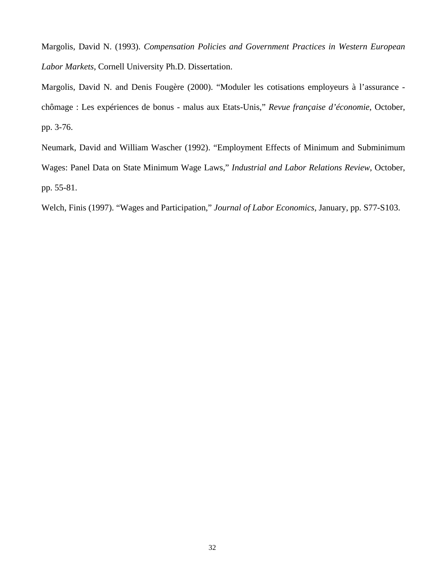Margolis, David N. (1993). *Compensation Policies and Government Practices in Western European Labor Markets*, Cornell University Ph.D. Dissertation.

Margolis, David N. and Denis Fougère (2000). "Moduler les cotisations employeurs à l'assurance chômage : Les expériences de bonus - malus aux Etats-Unis," *Revue française d'économie*, October, pp. 3-76.

Neumark, David and William Wascher (1992). "Employment Effects of Minimum and Subminimum Wages: Panel Data on State Minimum Wage Laws," *Industrial and Labor Relations Review*, October, pp. 55-81.

Welch, Finis (1997). "Wages and Participation," *Journal of Labor Economics*, January, pp. S77-S103.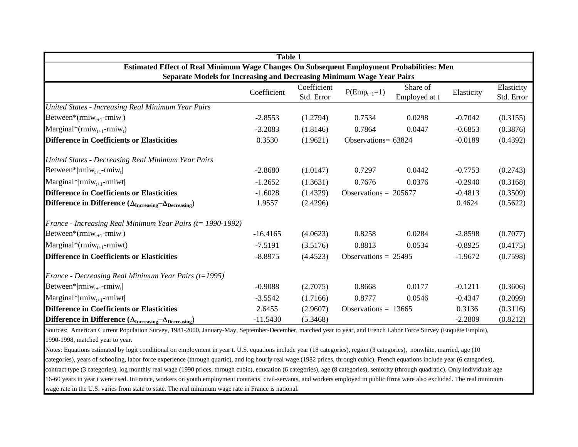|                                                                                           | Table 1     |                           |                         |                           |            |                          |  |  |
|-------------------------------------------------------------------------------------------|-------------|---------------------------|-------------------------|---------------------------|------------|--------------------------|--|--|
| Estimated Effect of Real Minimum Wage Changes On Subsequent Employment Probabilities: Men |             |                           |                         |                           |            |                          |  |  |
| <b>Separate Models for Increasing and Decreasing Minimum Wage Year Pairs</b>              | Coefficient | Coefficient<br>Std. Error | $P(Emp_{t+1}=1)$        | Share of<br>Employed at t | Elasticity | Elasticity<br>Std. Error |  |  |
| United States - Increasing Real Minimum Year Pairs                                        |             |                           |                         |                           |            |                          |  |  |
| Between*( $rmiw_{t+1}$ - $rmiw_t$ )                                                       | $-2.8553$   | (1.2794)                  | 0.7534                  | 0.0298                    | $-0.7042$  | (0.3155)                 |  |  |
| Marginal*( $rmiw_{t+1}$ -rmiw <sub>t</sub> )                                              | $-3.2083$   | (1.8146)                  | 0.7864                  | 0.0447                    | $-0.6853$  | (0.3876)                 |  |  |
| <b>Difference in Coefficients or Elasticities</b>                                         | 0.3530      | (1.9621)                  | Observations= 63824     |                           | $-0.0189$  | (0.4392)                 |  |  |
| United States - Decreasing Real Minimum Year Pairs                                        |             |                           |                         |                           |            |                          |  |  |
| Between* $ rmin_{t+1}$ -rmiw <sub>t</sub>                                                 | $-2.8680$   | (1.0147)                  | 0.7297                  | 0.0442                    | $-0.7753$  | (0.2743)                 |  |  |
| $\text{Marginal*}   \text{rmiw}_{t+1} \text{-rmiwt}  $                                    | $-1.2652$   | (1.3631)                  | 0.7676                  | 0.0376                    | $-0.2940$  | (0.3168)                 |  |  |
| <b>Difference in Coefficients or Elasticities</b>                                         | $-1.6028$   | (1.4329)                  | Observations = $205677$ |                           | $-0.4813$  | (0.3509)                 |  |  |
| Difference in Difference $(\Delta_{\text{Increasing}} - \Delta_{\text{Decreasing}})$      | 1.9557      | (2.4296)                  |                         |                           | 0.4624     | (0.5622)                 |  |  |
| France - Increasing Real Minimum Year Pairs ( $t = 1990-1992$ )                           |             |                           |                         |                           |            |                          |  |  |
| Between*( $rmiw_{t+1}$ - $rmiw_t$ )                                                       | $-16.4165$  | (4.0623)                  | 0.8258                  | 0.0284                    | $-2.8598$  | (0.7077)                 |  |  |
| $\text{Marginal}^*(\text{rmiw}_{t+1}\text{-rmiwt})$                                       | $-7.5191$   | (3.5176)                  | 0.8813                  | 0.0534                    | $-0.8925$  | (0.4175)                 |  |  |
| <b>Difference in Coefficients or Elasticities</b>                                         | $-8.8975$   | (4.4523)                  | Observations = $25495$  |                           | $-1.9672$  | (0.7598)                 |  |  |
| France - Decreasing Real Minimum Year Pairs (t=1995)                                      |             |                           |                         |                           |            |                          |  |  |
| Between* rmiw <sub>t+1</sub> -rmiw <sub>t</sub>                                           | $-0.9088$   | (2.7075)                  | 0.8668                  | 0.0177                    | $-0.1211$  | (0.3606)                 |  |  |
| $Marginal* rmiw_{t+1}-rmiwt $                                                             | $-3.5542$   | (1.7166)                  | 0.8777                  | 0.0546                    | $-0.4347$  | (0.2099)                 |  |  |
| <b>Difference in Coefficients or Elasticities</b>                                         | 2.6455      | (2.9607)                  | Observations = $13665$  |                           | 0.3136     | (0.3116)                 |  |  |
| Difference in Difference $(\Delta_{\text{Increasing}} - \Delta_{\text{Decreasing}})$      | $-11.5430$  | (5.3468)                  |                         |                           | $-2.2809$  | (0.8212)                 |  |  |

Sources: American Current Population Survey, 1981-2000, January-May, September-December, matched year to year, and French Labor Force Survey (Enquête Emploi), 1990-1998, matched year to year.

Notes: Equations estimated by logit conditional on employment in year t. U.S. equations include year (18 categories), region (3 categories), nonwhite, married, age (10 categories), years of schooling, labor force experience (through quartic), and log hourly real wage (1982 prices, through cubic). French equations include year (6 categories), contract type (3 categories), log monthly real wage (1990 prices, through cubic), education (6 categories), age (8 categories), seniority (through quadratic). Only individuals age 16-60 years in year t were used. InFrance, workers on youth employment contracts, civil-servants, and workers employed in public firms were also excluded. The real minimum wage rate in the U.S. varies from state to state. The real minimum wage rate in France is national.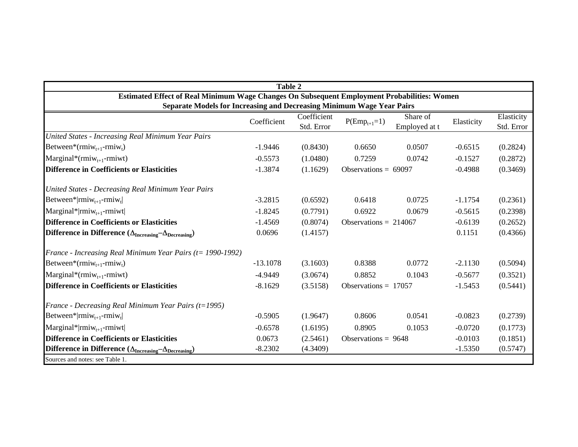|                                                                                             | <b>Table 2</b> |                           |                         |                           |            |                          |  |
|---------------------------------------------------------------------------------------------|----------------|---------------------------|-------------------------|---------------------------|------------|--------------------------|--|
| Estimated Effect of Real Minimum Wage Changes On Subsequent Employment Probabilities: Women |                |                           |                         |                           |            |                          |  |
| Separate Models for Increasing and Decreasing Minimum Wage Year Pairs                       |                |                           |                         |                           |            |                          |  |
|                                                                                             | Coefficient    | Coefficient<br>Std. Error | $P(Emp_{t+1}=1)$        | Share of<br>Employed at t | Elasticity | Elasticity<br>Std. Error |  |
| United States - Increasing Real Minimum Year Pairs                                          |                |                           |                         |                           |            |                          |  |
| Between*( $rmiw_{t+1}$ - $rmiw_t$ )                                                         | $-1.9446$      | (0.8430)                  | 0.6650                  | 0.0507                    | $-0.6515$  | (0.2824)                 |  |
| Marginal*( $rmiw_{t+1}$ -rmiwt)                                                             | $-0.5573$      | (1.0480)                  | 0.7259                  | 0.0742                    | $-0.1527$  | (0.2872)                 |  |
| <b>Difference in Coefficients or Elasticities</b>                                           | $-1.3874$      | (1.1629)                  | Observations = $69097$  |                           | $-0.4988$  | (0.3469)                 |  |
| United States - Decreasing Real Minimum Year Pairs                                          |                |                           |                         |                           |            |                          |  |
| Between* $ rmin_{t+1}$ - $rmin_{t}$                                                         | $-3.2815$      | (0.6592)                  | 0.6418                  | 0.0725                    | $-1.1754$  | (0.2361)                 |  |
| $\text{Marginal*}   \text{rmiw}_{t+1}$ -rmiwt                                               | $-1.8245$      | (0.7791)                  | 0.6922                  | 0.0679                    | $-0.5615$  | (0.2398)                 |  |
| <b>Difference in Coefficients or Elasticities</b>                                           | $-1.4569$      | (0.8074)                  | Observations = $214067$ |                           | $-0.6139$  | (0.2652)                 |  |
| Difference in Difference $(\Delta_{\text{Increasing}} - \Delta_{\text{Decreasing}})$        | 0.0696         | (1.4157)                  |                         |                           | 0.1151     | (0.4366)                 |  |
| France - Increasing Real Minimum Year Pairs (t= 1990-1992)                                  |                |                           |                         |                           |            |                          |  |
| Between*( $rmiw_{t+1}$ - $rmiw_t$ )                                                         | $-13.1078$     | (3.1603)                  | 0.8388                  | 0.0772                    | $-2.1130$  | (0.5094)                 |  |
| Marginal*( $rmiw_{t+1}$ -rmiwt)                                                             | $-4.9449$      | (3.0674)                  | 0.8852                  | 0.1043                    | $-0.5677$  | (0.3521)                 |  |
| <b>Difference in Coefficients or Elasticities</b>                                           | $-8.1629$      | (3.5158)                  | Observations = $17057$  |                           | $-1.5453$  | (0.5441)                 |  |
| France - Decreasing Real Minimum Year Pairs (t=1995)                                        |                |                           |                         |                           |            |                          |  |
| Between* $ rmin_{t+1}$ -rmiw <sub>t</sub>                                                   | $-0.5905$      | (1.9647)                  | 0.8606                  | 0.0541                    | $-0.0823$  | (0.2739)                 |  |
| $\text{Marginal*}   \text{rmiw}_{t+1}$ -rmiwt                                               | $-0.6578$      | (1.6195)                  | 0.8905                  | 0.1053                    | $-0.0720$  | (0.1773)                 |  |
| <b>Difference in Coefficients or Elasticities</b>                                           | 0.0673         | (2.5461)                  | Observations = $9648$   |                           | $-0.0103$  | (0.1851)                 |  |
| Difference in Difference $(\Delta_{\text{Increasing}} - \Delta_{\text{Decreasing}})$        | $-8.2302$      | (4.3409)                  |                         |                           | $-1.5350$  | (0.5747)                 |  |
| Sources and notes: see Table 1.                                                             |                |                           |                         |                           |            |                          |  |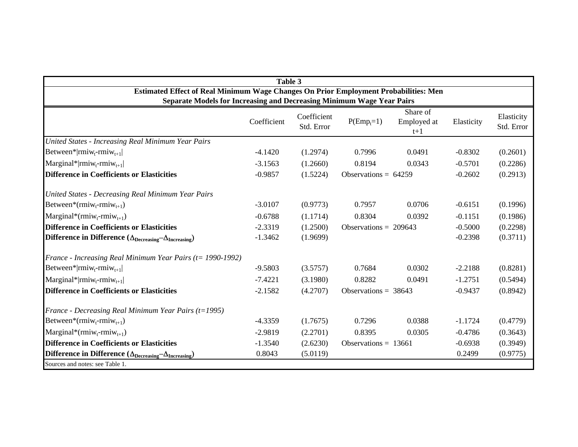|                                                                                      | Table 3     |                           |                         |                                  |            |                          |
|--------------------------------------------------------------------------------------|-------------|---------------------------|-------------------------|----------------------------------|------------|--------------------------|
| Estimated Effect of Real Minimum Wage Changes On Prior Employment Probabilities: Men |             |                           |                         |                                  |            |                          |
| Separate Models for Increasing and Decreasing Minimum Wage Year Pairs                |             |                           |                         |                                  |            |                          |
|                                                                                      | Coefficient | Coefficient<br>Std. Error | $P(Emp_t=1)$            | Share of<br>Employed at<br>$t+1$ | Elasticity | Elasticity<br>Std. Error |
| United States - Increasing Real Minimum Year Pairs                                   |             |                           |                         |                                  |            |                          |
| Between* rmiw <sub>t</sub> -rmiw <sub>t+1</sub>                                      | $-4.1420$   | (1.2974)                  | 0.7996                  | 0.0491                           | $-0.8302$  | (0.2601)                 |
| $\text{Marginal*} \text{rmiw}_{t} - \text{rmiw}_{t+1} $                              | $-3.1563$   | (1.2660)                  | 0.8194                  | 0.0343                           | $-0.5701$  | (0.2286)                 |
| <b>Difference in Coefficients or Elasticities</b>                                    | $-0.9857$   | (1.5224)                  | Observations = $64259$  |                                  | $-0.2602$  | (0.2913)                 |
| United States - Decreasing Real Minimum Year Pairs                                   |             |                           |                         |                                  |            |                          |
| Between*( $rmiw_t$ - $rmiw_{t+1}$ )                                                  | $-3.0107$   | (0.9773)                  | 0.7957                  | 0.0706                           | $-0.6151$  | (0.1996)                 |
| $\text{Marginal}^*(\text{rmiw}_t\text{-rmiw}_{t+1})$                                 | $-0.6788$   | (1.1714)                  | 0.8304                  | 0.0392                           | $-0.1151$  | (0.1986)                 |
| <b>Difference in Coefficients or Elasticities</b>                                    | $-2.3319$   | (1.2500)                  | Observations = $209643$ |                                  | $-0.5000$  | (0.2298)                 |
| Difference in Difference $(\Delta_{\text{Decreasing}} - \Delta_{\text{Increasing}})$ | $-1.3462$   | (1.9699)                  |                         |                                  | $-0.2398$  | (0.3711)                 |
| France - Increasing Real Minimum Year Pairs ( $t = 1990-1992$ )                      |             |                           |                         |                                  |            |                          |
| Between* rmiw <sub>t-</sub> rmiw <sub>t+1</sub>                                      | $-9.5803$   | (3.5757)                  | 0.7684                  | 0.0302                           | $-2.2188$  | (0.8281)                 |
| $\text{Marginal*} \text{rmiw}_{t}$ -rmi $\text{w}_{t+1} $                            | $-7.4221$   | (3.1980)                  | 0.8282                  | 0.0491                           | $-1.2751$  | (0.5494)                 |
| <b>Difference in Coefficients or Elasticities</b>                                    | $-2.1582$   | (4.2707)                  | Observations = $38643$  |                                  | $-0.9437$  | (0.8942)                 |
| France - Decreasing Real Minimum Year Pairs (t=1995)                                 |             |                           |                         |                                  |            |                          |
| Between*( $rmiw_t$ - $rmiw_{t+1}$ )                                                  | $-4.3359$   | (1.7675)                  | 0.7296                  | 0.0388                           | $-1.1724$  | (0.4779)                 |
| Marginal*(rmiw <sub>t</sub> -rmiw <sub>t+1</sub> )                                   | $-2.9819$   | (2.2701)                  | 0.8395                  | 0.0305                           | $-0.4786$  | (0.3643)                 |
| <b>Difference in Coefficients or Elasticities</b>                                    | $-1.3540$   | (2.6230)                  | Observations = $13661$  |                                  | $-0.6938$  | (0.3949)                 |
| Difference in Difference $(\Delta_{\text{Decreasing}} - \Delta_{\text{Increasing}})$ | 0.8043      | (5.0119)                  |                         |                                  | 0.2499     | (0.9775)                 |
| Sources and notes: see Table 1.                                                      |             |                           |                         |                                  |            |                          |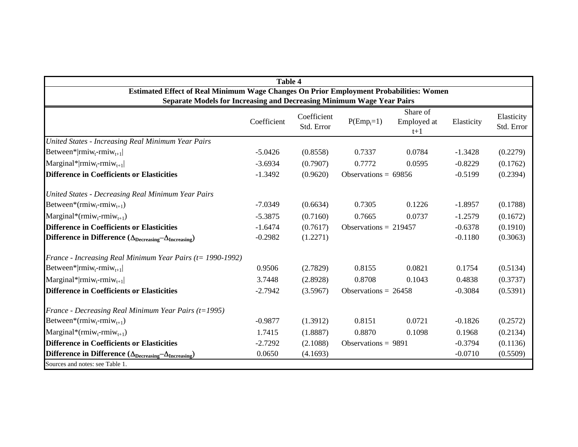|                                                                                        | <b>Table 4</b> |                           |                         |                                  |            |                          |
|----------------------------------------------------------------------------------------|----------------|---------------------------|-------------------------|----------------------------------|------------|--------------------------|
| Estimated Effect of Real Minimum Wage Changes On Prior Employment Probabilities: Women |                |                           |                         |                                  |            |                          |
| Separate Models for Increasing and Decreasing Minimum Wage Year Pairs                  |                |                           |                         |                                  |            |                          |
|                                                                                        | Coefficient    | Coefficient<br>Std. Error | $P(\text{Emp}_t=1)$     | Share of<br>Employed at<br>$t+1$ | Elasticity | Elasticity<br>Std. Error |
| United States - Increasing Real Minimum Year Pairs                                     |                |                           |                         |                                  |            |                          |
| Between* rmiw <sub>t</sub> -rmiw <sub>t+1</sub>                                        | $-5.0426$      | (0.8558)                  | 0.7337                  | 0.0784                           | $-1.3428$  | (0.2279)                 |
| $\text{Marginal*} \text{rmiw}_{t}$ -rmi $\text{w}_{t+1} $                              | $-3.6934$      | (0.7907)                  | 0.7772                  | 0.0595                           | $-0.8229$  | (0.1762)                 |
| <b>Difference in Coefficients or Elasticities</b>                                      | $-1.3492$      | (0.9620)                  | Observations = $69856$  |                                  | $-0.5199$  | (0.2394)                 |
| United States - Decreasing Real Minimum Year Pairs                                     |                |                           |                         |                                  |            |                          |
| Between*( $rmiw_t$ - $rmiw_{t+1}$ )                                                    | $-7.0349$      | (0.6634)                  | 0.7305                  | 0.1226                           | $-1.8957$  | (0.1788)                 |
| $\text{Marginal}^*(\text{rmiw}_t\text{-rmiw}_{t+1})$                                   | $-5.3875$      | (0.7160)                  | 0.7665                  | 0.0737                           | $-1.2579$  | (0.1672)                 |
| <b>Difference in Coefficients or Elasticities</b>                                      | $-1.6474$      | (0.7617)                  | Observations = $219457$ |                                  | $-0.6378$  | (0.1910)                 |
| Difference in Difference $(\Delta_{\text{Decreasing}} - \Delta_{\text{Increasing}})$   | $-0.2982$      | (1.2271)                  |                         |                                  | $-0.1180$  | (0.3063)                 |
| France - Increasing Real Minimum Year Pairs ( $t = 1990-1992$ )                        |                |                           |                         |                                  |            |                          |
| Between* rmiw <sub>t</sub> -rmiw <sub>t+1</sub>                                        | 0.9506         | (2.7829)                  | 0.8155                  | 0.0821                           | 0.1754     | (0.5134)                 |
| $\text{Marginal*} \text{rmiw}_{t} - \text{rmiw}_{t+1} $                                | 3.7448         | (2.8928)                  | 0.8708                  | 0.1043                           | 0.4838     | (0.3737)                 |
| <b>Difference in Coefficients or Elasticities</b>                                      | $-2.7942$      | (3.5967)                  | Observations = $26458$  |                                  | $-0.3084$  | (0.5391)                 |
| France - Decreasing Real Minimum Year Pairs (t=1995)                                   |                |                           |                         |                                  |            |                          |
| Between*( $rmiw_t$ - $rmiw_{t+1}$ )                                                    | $-0.9877$      | (1.3912)                  | 0.8151                  | 0.0721                           | $-0.1826$  | (0.2572)                 |
| Marginal*(rmiw <sub>t</sub> -rmiw <sub>t+1</sub> )                                     | 1.7415         | (1.8887)                  | 0.8870                  | 0.1098                           | 0.1968     | (0.2134)                 |
| <b>Difference in Coefficients or Elasticities</b>                                      | $-2.7292$      | (2.1088)                  | Observations = $9891$   |                                  | $-0.3794$  | (0.1136)                 |
| Difference in Difference $(\Delta_{\text{Decreasing}} - \Delta_{\text{Increasing}})$   | 0.0650         | (4.1693)                  |                         |                                  | $-0.0710$  | (0.5509)                 |
| Sources and notes: see Table 1.                                                        |                |                           |                         |                                  |            |                          |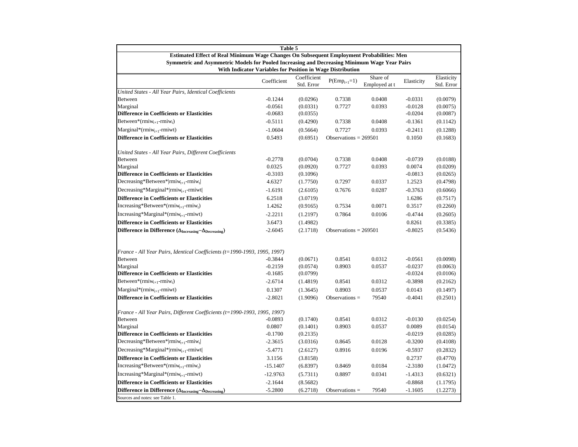|                                                                                              | Table 5                                                    |                           |                         |                           |                        |                          |
|----------------------------------------------------------------------------------------------|------------------------------------------------------------|---------------------------|-------------------------|---------------------------|------------------------|--------------------------|
| Estimated Effect of Real Minimum Wage Changes On Subsequent Employment Probabilities: Men    |                                                            |                           |                         |                           |                        |                          |
| Symmetric and Asymmetric Models for Pooled Increasing and Decreasing Minimum Wage Year Pairs | With Indicator Variables for Position in Wage Distribution |                           |                         |                           |                        |                          |
|                                                                                              | Coefficient                                                | Coefficient<br>Std. Error | $P(Emp_{t+1}=1)$        | Share of<br>Employed at t | Elasticity             | Elasticity<br>Std. Error |
| United States - All Year Pairs, Identical Coefficients                                       |                                                            |                           |                         |                           |                        |                          |
| <b>Between</b>                                                                               | $-0.1244$                                                  | (0.0296)                  | 0.7338                  | 0.0408                    | $-0.0331$              | (0.0079)                 |
| Marginal                                                                                     | $-0.0561$                                                  | (0.0331)                  | 0.7727                  | 0.0393                    | $-0.0128$              | (0.0075)                 |
| <b>Difference in Coefficients or Elasticities</b>                                            | $-0.0683$                                                  | (0.0355)                  |                         |                           | $-0.0204$              | (0.0087)                 |
| Between*( $rmiw_{t+1}$ - $rmiw_t$ )                                                          | $-0.5111$                                                  | (0.4290)                  | 0.7338                  | 0.0408                    | $-0.1361$              | (0.1142)                 |
| $Marginal*(rmiw_{t+1}-rmiwt)$                                                                | $-1.0604$                                                  | (0.5664)                  | 0.7727                  | 0.0393                    | $-0.2411$              | (0.1288)                 |
| <b>Difference in Coefficients or Elasticities</b>                                            | 0.5493                                                     | (0.6951)                  | Observations = $269501$ |                           | 0.1050                 | (0.1683)                 |
| United States - All Year Pairs, Different Coefficients                                       |                                                            |                           |                         |                           |                        |                          |
| Between                                                                                      | $-0.2778$                                                  | (0.0704)                  | 0.7338                  | 0.0408                    | $-0.0739$              | (0.0188)                 |
| Marginal                                                                                     | 0.0325                                                     | (0.0920)                  | 0.7727                  | 0.0393                    | 0.0074                 | (0.0209)                 |
| <b>Difference in Coefficients or Elasticities</b>                                            | $-0.3103$                                                  | (0.1096)                  |                         |                           | $-0.0813$              | (0.0265)                 |
| Decreasing*Between* rmiw <sub>t+1</sub> -rmiw <sub>t</sub>                                   | 4.6327                                                     | (1.7750)                  | 0.7297                  | 0.0337                    | 1.2523                 | (0.4798)                 |
| Decreasing*Marginal* rmi $w_{t+1}$ -rmiwt                                                    | $-1.6191$                                                  | (2.6105)                  | 0.7676                  | 0.0287                    | $-0.3763$              | (0.6066)                 |
| <b>Difference in Coefficients or Elasticities</b>                                            | 6.2518                                                     | (3.0719)                  |                         |                           | 1.6286                 | (0.7517)                 |
| $Increasing*Between*(rmiw_{t+1}-rmiw_t)$                                                     | 1.4262                                                     | (0.9165)                  | 0.7534                  | 0.0071                    | 0.3517                 | (0.2260)                 |
| Increasing*Marginal*(rmiw <sub>t+1</sub> -rmiwt)                                             | $-2.2211$                                                  | (1.2197)                  | 0.7864                  | 0.0106                    | $-0.4744$              | (0.2605)                 |
| <b>Difference in Coefficients or Elasticities</b>                                            | 3.6473                                                     | (1.4982)                  |                         |                           | 0.8261                 | (0.3385)                 |
| Difference in Difference $(\Delta_{\text{Increasing}} - \Delta_{\text{Decreasing}})$         | $-2.6045$                                                  | (2.1718)                  | Observations = $269501$ |                           | $-0.8025$              | (0.5436)                 |
|                                                                                              |                                                            |                           |                         |                           |                        |                          |
| France - All Year Pairs, Identical Coefficients (t=1990-1993, 1995, 1997)                    |                                                            |                           |                         |                           |                        |                          |
| Between<br>Marginal                                                                          | $-0.3844$<br>$-0.2159$                                     | (0.0671)<br>(0.0574)      | 0.8541<br>0.8903        | 0.0312<br>0.0537          | $-0.0561$<br>$-0.0237$ | (0.0098)<br>(0.0063)     |
| <b>Difference in Coefficients or Elasticities</b>                                            | $-0.1685$                                                  | (0.0799)                  |                         |                           | $-0.0324$              | (0.0106)                 |
| Between*( $rmiw_{t+1}$ - $rmiw_t$ )                                                          | $-2.6714$                                                  | (1.4819)                  | 0.8541                  | 0.0312                    | $-0.3898$              | (0.2162)                 |
| $Marginal*(rmiw_{t+1}-rmiwt)$                                                                | 0.1307                                                     | (1.3645)                  | 0.8903                  | 0.0537                    | 0.0143                 | (0.1497)                 |
| <b>Difference in Coefficients or Elasticities</b>                                            | $-2.8021$                                                  | (1.9096)                  | Observations $=$        | 79540                     | $-0.4041$              | (0.2501)                 |
|                                                                                              |                                                            |                           |                         |                           |                        |                          |
| France - All Year Pairs, Different Coefficients (t=1990-1993, 1995, 1997)                    |                                                            |                           |                         |                           |                        |                          |
| <b>Between</b>                                                                               | $-0.0893$                                                  | (0.1740)                  | 0.8541                  | 0.0312                    | $-0.0130$              | (0.0254)                 |
| Marginal                                                                                     | 0.0807                                                     | (0.1401)                  | 0.8903                  | 0.0537                    | 0.0089                 | (0.0154)                 |
| <b>Difference in Coefficients or Elasticities</b>                                            | $-0.1700$                                                  | (0.2135)                  | 0.8645                  | 0.0128                    | $-0.0219$              | (0.0285)                 |
| $\text{Decreasing*Between*} \text{rmiw}_{t+1}\text{-rmiw}_{t} $                              | $-2.3615$                                                  | (3.0316)                  |                         |                           | $-0.3200$              | (0.4108)                 |
| Decreasing*Marginal* rmiw <sub>t+1</sub> -rmiwt                                              | $-5.4771$                                                  | (2.6127)                  | 0.8916                  | 0.0196                    | $-0.5937$              | (0.2832)                 |
| <b>Difference in Coefficients or Elasticities</b>                                            | 3.1156                                                     | (3.8158)                  |                         |                           | 0.2737                 | (0.4770)                 |
| Increasing*Between*( $rmiw_{t+1}$ - $rmiw_t$ )                                               | $-15.1407$                                                 | (6.8397)                  | 0.8469                  | 0.0184                    | $-2.3180$              | (1.0472)                 |
| Increasing*Marginal*(rmiw <sub>t+1</sub> -rmiwt)                                             | $-12.9763$                                                 | (5.7311)                  | 0.8897                  | 0.0341                    | $-1.4313$              | (0.6321)                 |
| <b>Difference in Coefficients or Elasticities</b>                                            | $-2.1644$                                                  | (8.5682)                  |                         |                           | $-0.8868$              | (1.1795)                 |
| Difference in Difference $(\Delta_{\text{Increasing}} - \Delta_{\text{Decreasing}})$         | $-5.2800$                                                  | (6.2718)                  | Observations $=$        | 79540                     | $-1.1605$              | (1.2273)                 |
| Sources and notes: see Table 1.                                                              |                                                            |                           |                         |                           |                        |                          |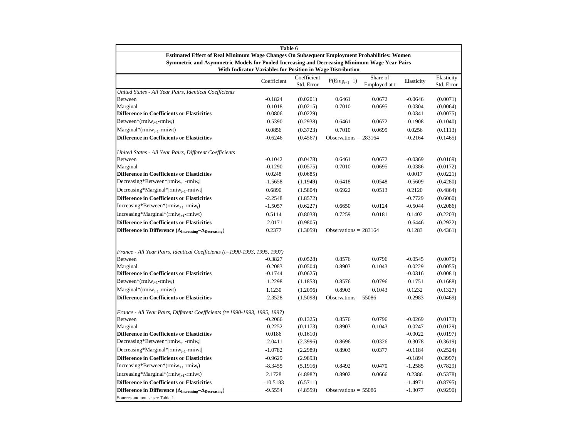|                                                                                              | Table 6                                                    |                           |                         |                           |                        |                          |
|----------------------------------------------------------------------------------------------|------------------------------------------------------------|---------------------------|-------------------------|---------------------------|------------------------|--------------------------|
| Estimated Effect of Real Minimum Wage Changes On Subsequent Employment Probabilities: Women  |                                                            |                           |                         |                           |                        |                          |
| Symmetric and Asymmetric Models for Pooled Increasing and Decreasing Minimum Wage Year Pairs | With Indicator Variables for Position in Wage Distribution |                           |                         |                           |                        |                          |
|                                                                                              | Coefficient                                                | Coefficient<br>Std. Error | $P(Emp_{t+1}=1)$        | Share of<br>Employed at t | Elasticity             | Elasticity<br>Std. Error |
| United States - All Year Pairs, Identical Coefficients                                       |                                                            |                           |                         |                           |                        |                          |
| <b>Between</b>                                                                               | $-0.1824$                                                  | (0.0201)                  | 0.6461                  | 0.0672                    | $-0.0646$              | (0.0071)                 |
| Marginal                                                                                     | $-0.1018$                                                  | (0.0215)                  | 0.7010                  | 0.0695                    | $-0.0304$              | (0.0064)                 |
| <b>Difference in Coefficients or Elasticities</b>                                            | $-0.0806$                                                  | (0.0229)                  |                         |                           | $-0.0341$              | (0.0075)                 |
| Between*( $rmiw_{t+1}$ - $rmiw_t$ )                                                          | $-0.5390$                                                  | (0.2938)                  | 0.6461                  | 0.0672                    | $-0.1908$              | (0.1040)                 |
| $Marginal*(rmiw_{t+1}-rmiwt)$                                                                | 0.0856                                                     | (0.3723)                  | 0.7010                  | 0.0695                    | 0.0256                 | (0.1113)                 |
| <b>Difference in Coefficients or Elasticities</b>                                            | $-0.6246$                                                  | (0.4567)                  | Observations = $283164$ |                           | $-0.2164$              | (0.1465)                 |
| United States - All Year Pairs, Different Coefficients                                       |                                                            |                           |                         |                           |                        |                          |
| <b>Between</b>                                                                               | $-0.1042$                                                  | (0.0478)                  | 0.6461                  | 0.0672                    | $-0.0369$              | (0.0169)                 |
| Marginal                                                                                     | $-0.1290$                                                  | (0.0575)                  | 0.7010                  | 0.0695                    | $-0.0386$              | (0.0172)                 |
| <b>Difference in Coefficients or Elasticities</b>                                            | 0.0248                                                     | (0.0685)                  |                         |                           | 0.0017                 | (0.0221)                 |
| Decreasing*Between* rmiw <sub>t+1</sub> -rmiw <sub>t</sub>                                   | $-1.5658$                                                  | (1.1949)                  | 0.6418                  | 0.0548                    | $-0.5609$              | (0.4280)                 |
| Decreasing*Marginal* rmi $w_{t+1}$ -rmiwt                                                    | 0.6890                                                     | (1.5804)                  | 0.6922                  | 0.0513                    | 0.2120                 | (0.4864)                 |
| <b>Difference in Coefficients or Elasticities</b>                                            | $-2.2548$                                                  | (1.8572)                  |                         |                           | $-0.7729$              | (0.6060)                 |
| Increasing*Between*( $r m i w_{t+1}$ - $r m i w_t$ )                                         | $-1.5057$                                                  | (0.6227)                  | 0.6650                  | 0.0124                    | $-0.5044$              | (0.2086)                 |
| $Increasing*Marginal*(rmwt+1-rmiwt)$                                                         | 0.5114                                                     | (0.8038)                  | 0.7259                  | 0.0181                    | 0.1402                 | (0.2203)                 |
| <b>Difference in Coefficients or Elasticities</b>                                            | $-2.0171$                                                  | (0.9805)                  |                         |                           | $-0.6446$              | (0.2922)                 |
| Difference in Difference ( $\Delta_{\text{Increasing}} - \Delta_{\text{Decreasing}}$ )       | 0.2377                                                     | (1.3059)                  | Observations = $283164$ |                           | 0.1283                 | (0.4361)                 |
|                                                                                              |                                                            |                           |                         |                           |                        |                          |
| France - All Year Pairs, Identical Coefficients (t=1990-1993, 1995, 1997)                    |                                                            |                           |                         |                           |                        |                          |
| <b>Between</b>                                                                               | $-0.3827$<br>$-0.2083$                                     | (0.0528)                  | 0.8576                  | 0.0796                    | $-0.0545$              | (0.0075)                 |
| Marginal<br><b>Difference in Coefficients or Elasticities</b>                                | $-0.1744$                                                  | (0.0504)<br>(0.0625)      | 0.8903                  | 0.1043                    | $-0.0229$<br>$-0.0316$ | (0.0055)<br>(0.0081)     |
| Between*( $rmiw_{t+1}$ - $rmiw_t$ )                                                          | $-1.2298$                                                  | (1.1853)                  | 0.8576                  | 0.0796                    | $-0.1751$              | (0.1688)                 |
|                                                                                              |                                                            |                           | 0.8903                  |                           |                        |                          |
| $Marginal*(rmiw_{t+1}-rmiwt)$<br><b>Difference in Coefficients or Elasticities</b>           | 1.1230                                                     | (1.2096)                  |                         | 0.1043                    | 0.1232                 | (0.1327)                 |
|                                                                                              | $-2.3528$                                                  | (1.5098)                  | Observations = $55086$  |                           | $-0.2983$              | (0.0469)                 |
| France - All Year Pairs, Different Coefficients (t=1990-1993, 1995, 1997)                    |                                                            |                           |                         |                           |                        |                          |
| Between                                                                                      | $-0.2066$                                                  | (0.1325)                  | 0.8576                  | 0.0796                    | $-0.0269$              | (0.0173)                 |
| Marginal                                                                                     | $-0.2252$                                                  | (0.1173)                  | 0.8903                  | 0.1043                    | $-0.0247$              | (0.0129)                 |
| <b>Difference in Coefficients or Elasticities</b>                                            | 0.0186                                                     | (0.1610)                  |                         |                           | $-0.0022$              | (0.0197)                 |
| Decreasing*Between* rmiw <sub>t+1</sub> -rmiw <sub>t</sub>                                   | $-2.0411$                                                  | (2.3996)                  | 0.8696                  | 0.0326                    | $-0.3078$              | (0.3619)                 |
| Decreasing*Marginal* rmiw <sub>t+1</sub> -rmiwt                                              | $-1.0782$                                                  | (2.2989)                  | 0.8903                  | 0.0377                    | $-0.1184$              | (0.2524)                 |
| <b>Difference in Coefficients or Elasticities</b>                                            | $-0.9629$                                                  | (2.9893)                  |                         |                           | $-0.1894$              | (0.3997)                 |
| $Increasing*Between*(rmiw_{t+1}-rmiw_t)$                                                     | $-8.3455$                                                  | (5.1916)                  | 0.8492                  | 0.0470                    | $-1.2585$              | (0.7829)                 |
| Increasing*Marginal*(rmiw <sub>t+1</sub> -rmiwt)                                             | 2.1728                                                     | (4.8982)                  | 0.8902                  | 0.0666                    | 0.2386                 | (0.5378)                 |
| <b>Difference in Coefficients or Elasticities</b>                                            | $-10.5183$                                                 | (6.5711)                  |                         |                           | $-1.4971$              | (0.8795)                 |
| Difference in Difference ( $\Delta_{\text{Increasing}} - \Delta_{\text{Decreasing}}$ )       | $-9.5554$                                                  | (4.8559)                  | Observations = $55086$  |                           | $-1.3077$              | (0.9290)                 |
| Sources and notes: see Table 1.                                                              |                                                            |                           |                         |                           |                        |                          |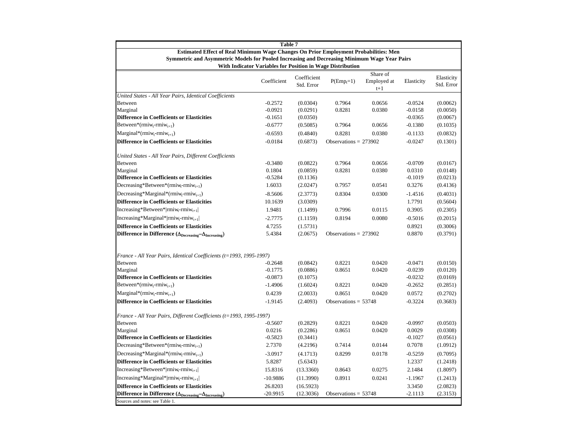| Table 7                                                                                                                                                    |             |                           |                         |                      |            |                          |  |  |
|------------------------------------------------------------------------------------------------------------------------------------------------------------|-------------|---------------------------|-------------------------|----------------------|------------|--------------------------|--|--|
| Estimated Effect of Real Minimum Wage Changes On Prior Employment Probabilities: Men                                                                       |             |                           |                         |                      |            |                          |  |  |
| Symmetric and Asymmetric Models for Pooled Increasing and Decreasing Minimum Wage Year Pairs<br>With Indicator Variables for Position in Wage Distribution |             |                           |                         |                      |            |                          |  |  |
|                                                                                                                                                            |             |                           |                         | Share of             |            |                          |  |  |
|                                                                                                                                                            | Coefficient | Coefficient<br>Std. Error | $P(\text{Emp}_t=1)$     | Employed at<br>$t+1$ | Elasticity | Elasticity<br>Std. Error |  |  |
| United States - All Year Pairs, Identical Coefficients                                                                                                     |             |                           |                         |                      |            |                          |  |  |
| <b>Between</b>                                                                                                                                             | $-0.2572$   | (0.0304)                  | 0.7964                  | 0.0656               | $-0.0524$  | (0.0062)                 |  |  |
| Marginal                                                                                                                                                   | $-0.0921$   | (0.0291)                  | 0.8281                  | 0.0380               | $-0.0158$  | (0.0050)                 |  |  |
| <b>Difference in Coefficients or Elasticities</b>                                                                                                          | $-0.1651$   | (0.0350)                  |                         |                      | $-0.0365$  | (0.0067)                 |  |  |
| Between*( $rmiw_t$ - $rmiw_{t+1}$ )                                                                                                                        | $-0.6777$   | (0.5085)                  | 0.7964                  | 0.0656               | $-0.1380$  | (0.1035)                 |  |  |
| $\text{Marginal}^*(\text{rmiw}_t\text{-rmiw}_{t+1})$                                                                                                       | $-0.6593$   | (0.4840)                  | 0.8281                  | 0.0380               | $-0.1133$  | (0.0832)                 |  |  |
| <b>Difference in Coefficients or Elasticities</b>                                                                                                          | $-0.0184$   | (0.6873)                  | Observations = $273902$ |                      | $-0.0247$  | (0.1301)                 |  |  |
| United States - All Year Pairs, Different Coefficients                                                                                                     |             |                           |                         |                      |            |                          |  |  |
| <b>Between</b>                                                                                                                                             | $-0.3480$   | (0.0822)                  | 0.7964                  | 0.0656               | $-0.0709$  | (0.0167)                 |  |  |
| Marginal                                                                                                                                                   | 0.1804      | (0.0859)                  | 0.8281                  | 0.0380               | 0.0310     | (0.0148)                 |  |  |
| <b>Difference in Coefficients or Elasticities</b>                                                                                                          | $-0.5284$   | (0.1136)                  |                         |                      | $-0.1019$  | (0.0213)                 |  |  |
| Decreasing*Between*(rmiw <sub>t-rmiw<sub>t+1</sub>)</sub>                                                                                                  | 1.6033      | (2.0247)                  | 0.7957                  | 0.0541               | 0.3276     | (0.4136)                 |  |  |
| Decreasing*Marginal*(rmiw <sub>t-T</sub> miw <sub>t+1</sub> )                                                                                              | $-8.5606$   | (2.3773)                  | 0.8304                  | 0.0300               | $-1.4516$  | (0.4031)                 |  |  |
| <b>Difference in Coefficients or Elasticities</b>                                                                                                          | 10.1639     | (3.0309)                  |                         |                      | 1.7791     | (0.5604)                 |  |  |
| $Increasing*Between* rmiw_t-rmiw_{t+1} $                                                                                                                   | 1.9481      | (1.1499)                  | 0.7996                  | 0.0115               | 0.3905     | (0.2305)                 |  |  |
| Increasing*Marginal* rmiw <sub>t-rmiw<sub>t+1</sub> </sub>                                                                                                 | $-2.7775$   | (1.1159)                  | 0.8194                  | 0.0080               | $-0.5016$  | (0.2015)                 |  |  |
| <b>Difference in Coefficients or Elasticities</b>                                                                                                          | 4.7255      | (1.5731)                  |                         |                      | 0.8921     | (0.3006)                 |  |  |
| Difference in Difference ( $\Delta_{\text{Decreasing}} - \Delta_{\text{Increasing}}$ )                                                                     | 5.4384      | (2.0675)                  | Observations = $273902$ |                      | 0.8870     | (0.3791)                 |  |  |
|                                                                                                                                                            |             |                           |                         |                      |            |                          |  |  |
| France - All Year Pairs, Identical Coefficients (t=1993, 1995-1997)<br><b>Between</b>                                                                      | $-0.2648$   | (0.0842)                  | 0.8221                  | 0.0420               | $-0.0471$  | (0.0150)                 |  |  |
| Marginal                                                                                                                                                   | $-0.1775$   | (0.0886)                  | 0.8651                  | 0.0420               | $-0.0239$  | (0.0120)                 |  |  |
| <b>Difference in Coefficients or Elasticities</b>                                                                                                          | $-0.0873$   | (0.1075)                  |                         |                      | $-0.0232$  | (0.0169)                 |  |  |
| Between*(rmiw <sub>t</sub> -rmiw <sub>t+1</sub> )                                                                                                          | $-1.4906$   | (1.6024)                  | 0.8221                  | 0.0420               | $-0.2652$  | (0.2851)                 |  |  |
| $\text{Marginal}^*(\text{rmiw}_t\text{-rmiw}_{t+1})$                                                                                                       | 0.4239      | (2.0033)                  | 0.8651                  | 0.0420               | 0.0572     | (0.2702)                 |  |  |
| <b>Difference in Coefficients or Elasticities</b>                                                                                                          | $-1.9145$   | (2.4093)                  | Observations = $53748$  |                      | $-0.3224$  | (0.3683)                 |  |  |
| France - All Year Pairs, Different Coefficients (t=1993, 1995-1997)                                                                                        |             |                           |                         |                      |            |                          |  |  |
| <b>Between</b>                                                                                                                                             | $-0.5607$   | (0.2829)                  | 0.8221                  | 0.0420               | $-0.0997$  | (0.0503)                 |  |  |
| Marginal                                                                                                                                                   | 0.0216      | (0.2286)                  | 0.8651                  | 0.0420               | 0.0029     | (0.0308)                 |  |  |
| <b>Difference in Coefficients or Elasticities</b>                                                                                                          | $-0.5823$   | (0.3441)                  |                         |                      | $-0.1027$  | (0.0561)                 |  |  |
| Decreasing*Between*(rmiw <sub>t-rmiw<sub>t+1</sub>)</sub>                                                                                                  | 2.7370      | (4.2196)                  | 0.7414                  | 0.0144               | 0.7078     | (1.0912)                 |  |  |
| Decreasing*Marginal*( $rmin_{t+1}$ )                                                                                                                       | $-3.0917$   | (4.1713)                  | 0.8299                  | 0.0178               | $-0.5259$  | (0.7095)                 |  |  |
| <b>Difference in Coefficients or Elasticities</b>                                                                                                          | 5.8287      | (5.6343)                  |                         |                      | 1.2337     | (1.2418)                 |  |  |
| Increasing*Between* rmiw <sub>t-rmi</sub> w <sub>t+1</sub>                                                                                                 | 15.8316     | (13.3360)                 | 0.8643                  | 0.0275               | 2.1484     | (1.8097)                 |  |  |
| Increasing*Marginal* rmiw <sub>t-</sub> rmiw <sub>t+1</sub>                                                                                                | $-10.9886$  | (11.3990)                 | 0.8911                  | 0.0241               | $-1.1967$  | (1.2413)                 |  |  |
| <b>Difference in Coefficients or Elasticities</b>                                                                                                          | 26.8203     | (16.5923)                 |                         |                      | 3.3450     | (2.0823)                 |  |  |
| Difference in Difference $(\Delta_{\text{Decreasing}} - \Delta_{\text{Increasing}})$                                                                       | $-20.9915$  | (12.3036)                 | Observations = $53748$  |                      | $-2.1113$  | (2.3153)                 |  |  |
| Sources and notes: see Table 1.                                                                                                                            |             |                           |                         |                      |            |                          |  |  |